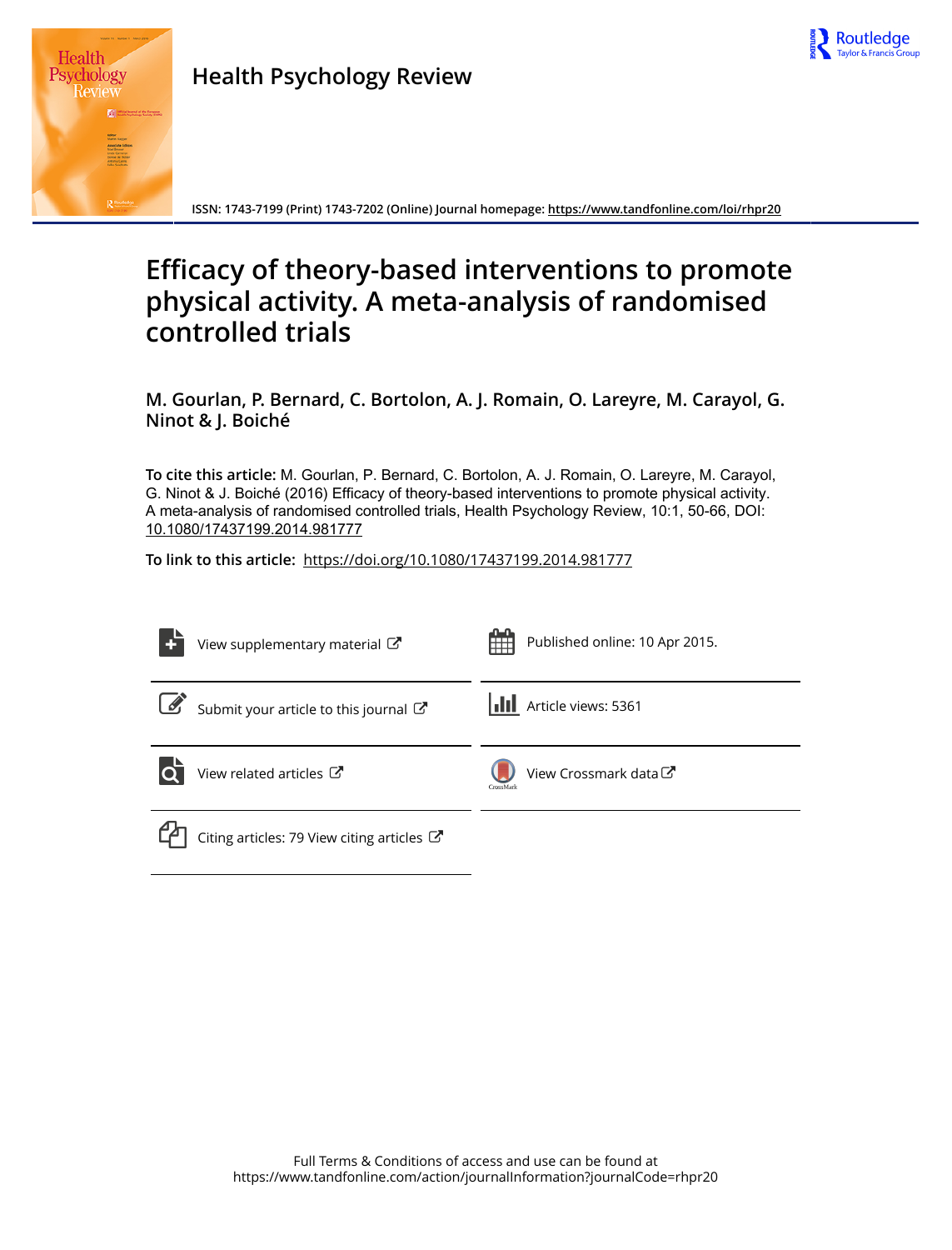



**ISSN: 1743-7199 (Print) 1743-7202 (Online) Journal homepage:<https://www.tandfonline.com/loi/rhpr20>**

# **Efficacy of theory-based interventions to promote physical activity. A meta-analysis of randomised controlled trials**

**M. Gourlan, P. Bernard, C. Bortolon, A. J. Romain, O. Lareyre, M. Carayol, G. Ninot & J. Boiché**

**To cite this article:** M. Gourlan, P. Bernard, C. Bortolon, A. J. Romain, O. Lareyre, M. Carayol, G. Ninot & J. Boiché (2016) Efficacy of theory-based interventions to promote physical activity. A meta-analysis of randomised controlled trials, Health Psychology Review, 10:1, 50-66, DOI: [10.1080/17437199.2014.981777](https://www.tandfonline.com/action/showCitFormats?doi=10.1080/17437199.2014.981777)

**To link to this article:** <https://doi.org/10.1080/17437199.2014.981777>

| View supplementary material C                         | Published online: 10 Apr 2015.<br>睜 |
|-------------------------------------------------------|-------------------------------------|
| Submit your article to this journal                   | <b>III</b> Article views: 5361      |
| View related articles C                               | View Crossmark data C<br>CrossMark  |
| Citing articles: 79 View citing articles $\mathbb{Z}$ |                                     |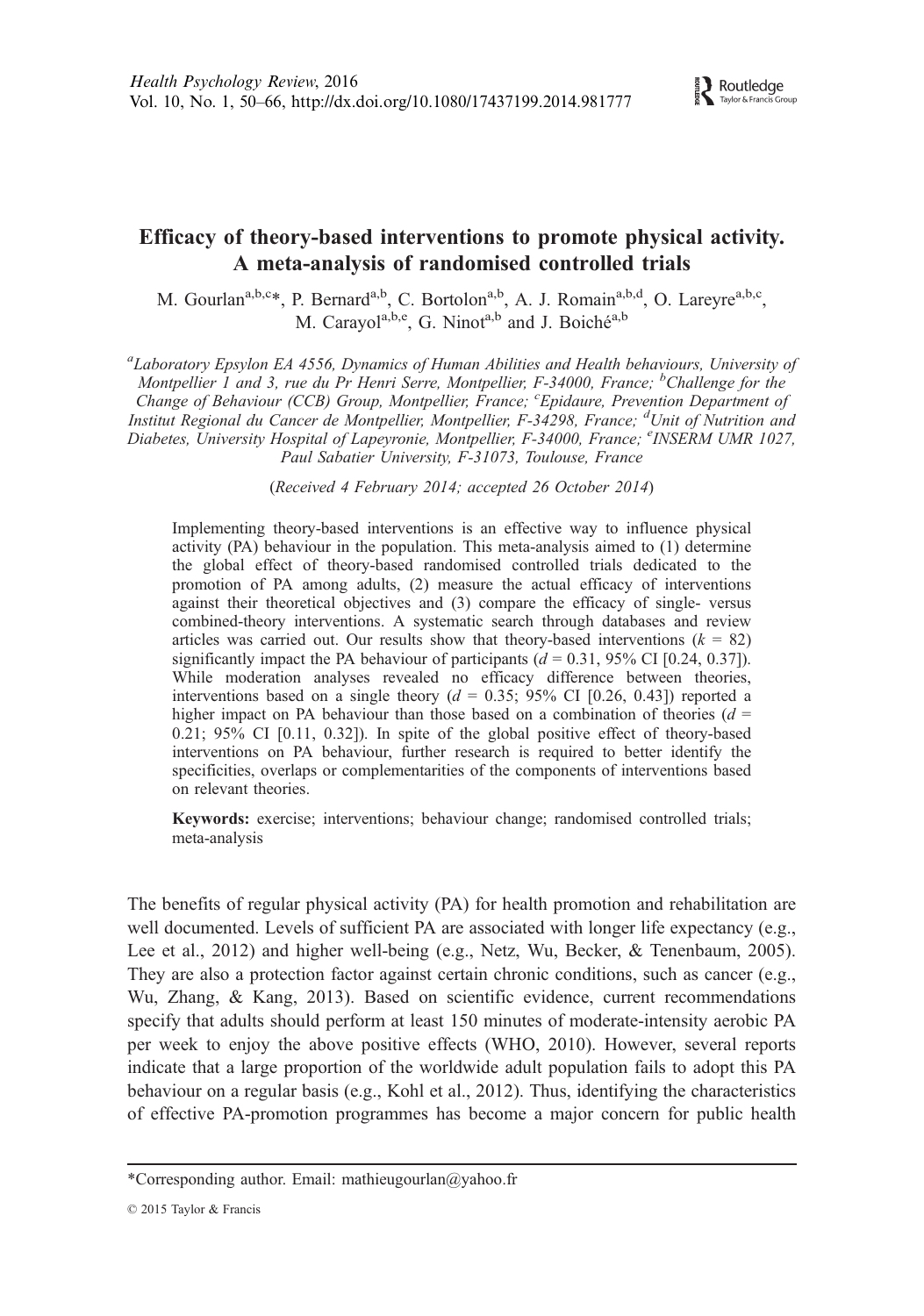## Efficacy of theory-based interventions to promote physical activity. A meta-analysis of randomised controlled trials

M. Gourlan<sup>a,b,c</sup>\*, P. Bernard<sup>a,b</sup>, C. Bortolon<sup>a,b</sup>, A. J. Romain<sup>a,b,d</sup>, O. Lareyre<sup>a,b,c</sup>, M. Carayol<sup>a,b,e</sup>, G. Ninot<sup>a,b</sup> and J. Boiché<sup>a,b</sup>

<sup>a</sup>Laboratory Epsylon EA 4556, Dynamics of Human Abilities and Health behaviours, University of Montpellier 1 and 3, rue du Pr Henri Serre, Montpellier, F-34000, France; <sup>b</sup>Challenge for the Change of Behaviour (CCB) Group, Montpellier, France; 'Epidaure, Prevention Department of Institut Regional du Cancer de Montpellier, Montpellier, F-34298, France; <sup>d</sup>Unit of Nutrition and Diabetes, University Hospital of Lapeyronie, Montpellier, F-34000, France; <sup>e</sup>INSERM UMR 1027, Paul Sabatier University, F-31073, Toulouse, France

(Received 4 February 2014; accepted 26 October 2014)

Implementing theory-based interventions is an effective way to influence physical activity (PA) behaviour in the population. This meta-analysis aimed to (1) determine the global effect of theory-based randomised controlled trials dedicated to the promotion of PA among adults, (2) measure the actual efficacy of interventions against their theoretical objectives and (3) compare the efficacy of single- versus combined-theory interventions. A systematic search through databases and review articles was carried out. Our results show that theory-based interventions  $(k = 82)$ significantly impact the PA behaviour of participants  $(d = 0.31, 95\% \text{ CI} [0.24, 0.37])$ . While moderation analyses revealed no efficacy difference between theories, interventions based on a single theory ( $d = 0.35$ ; 95% CI [0.26, 0.43]) reported a higher impact on PA behaviour than those based on a combination of theories  $(d =$ 0.21; 95% CI [0.11, 0.32]). In spite of the global positive effect of theory-based interventions on PA behaviour, further research is required to better identify the specificities, overlaps or complementarities of the components of interventions based on relevant theories.

Keywords: exercise; interventions; behaviour change; randomised controlled trials; meta-analysis

The benefits of regular physical activity (PA) for health promotion and rehabilitation are well documented. Levels of sufficient PA are associated with longer life expectancy (e.g., Lee et al., [2012](#page-15-0)) and higher well-being (e.g., Netz, Wu, Becker, & Tenenbaum, [2005](#page-16-0)). They are also a protection factor against certain chronic conditions, such as cancer (e.g., Wu, Zhang, & Kang, [2013\)](#page-17-0). Based on scientific evidence, current recommendations specify that adults should perform at least 150 minutes of moderate-intensity aerobic PA per week to enjoy the above positive effects (WHO, [2010\)](#page-17-0). However, several reports indicate that a large proportion of the worldwide adult population fails to adopt this PA behaviour on a regular basis (e.g., Kohl et al., [2012](#page-15-0)). Thus, identifying the characteristics of effective PA-promotion programmes has become a major concern for public health

<sup>\*</sup>Corresponding author. Email: [mathieugourlan@yahoo.fr](mailto:mathieugourlan@yahoo.fr)

<sup>© 2015</sup> Taylor & Francis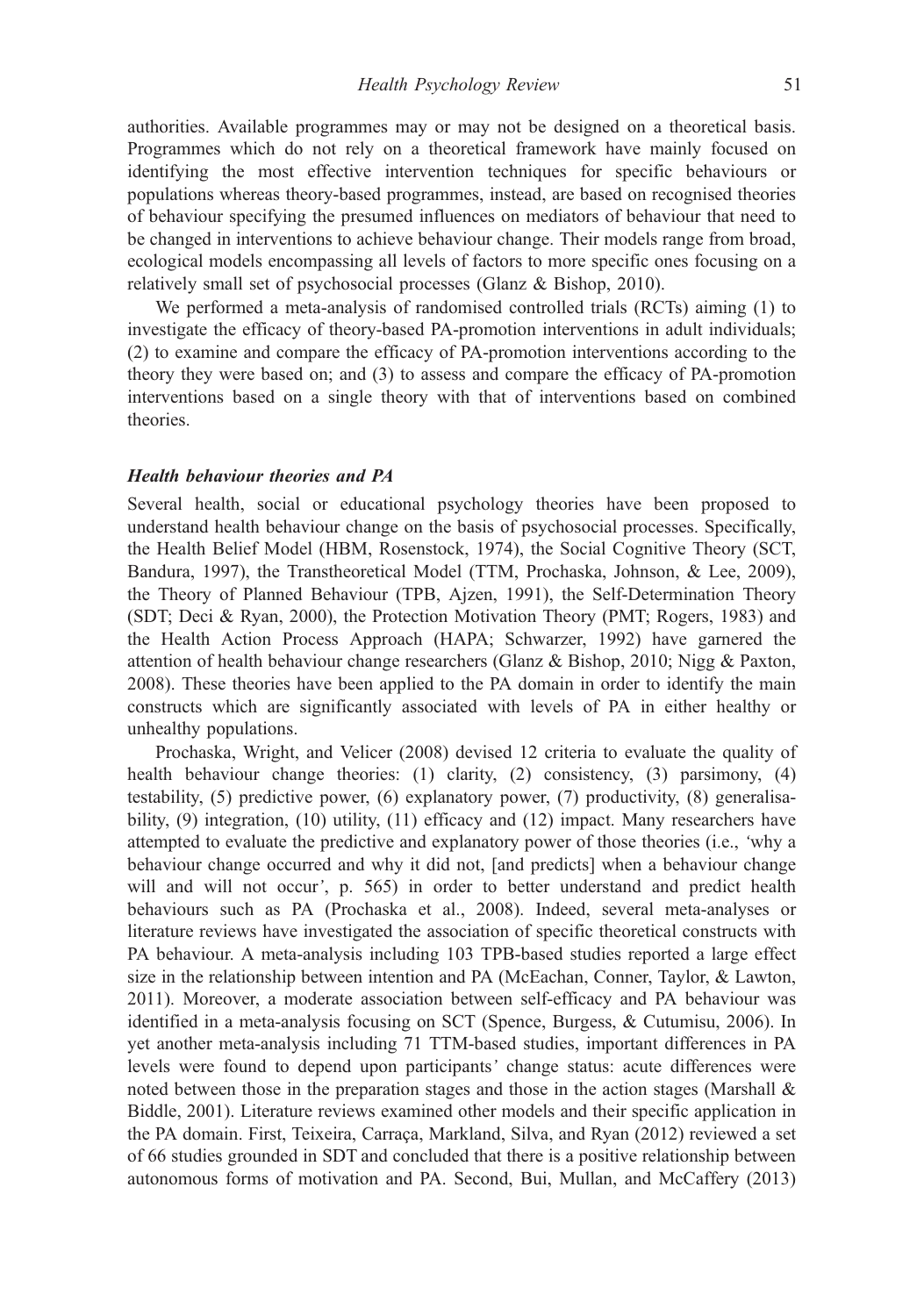authorities. Available programmes may or may not be designed on a theoretical basis. Programmes which do not rely on a theoretical framework have mainly focused on identifying the most effective intervention techniques for specific behaviours or populations whereas theory-based programmes, instead, are based on recognised theories of behaviour specifying the presumed influences on mediators of behaviour that need to be changed in interventions to achieve behaviour change. Their models range from broad, ecological models encompassing all levels of factors to more specific ones focusing on a relatively small set of psychosocial processes (Glanz & Bishop, [2010\)](#page-14-0).

We performed a meta-analysis of randomised controlled trials (RCTs) aiming (1) to investigate the efficacy of theory-based PA-promotion interventions in adult individuals; (2) to examine and compare the efficacy of PA-promotion interventions according to the theory they were based on; and (3) to assess and compare the efficacy of PA-promotion interventions based on a single theory with that of interventions based on combined theories.

## Health behaviour theories and PA

Several health, social or educational psychology theories have been proposed to understand health behaviour change on the basis of psychosocial processes. Specifically, the Health Belief Model (HBM, Rosenstock, [1974](#page-17-0)), the Social Cognitive Theory (SCT, Bandura, [1997\)](#page-13-0), the Transtheoretical Model (TTM, Prochaska, Johnson, & Lee, [2009](#page-16-0)), the Theory of Planned Behaviour (TPB, Ajzen, [1991\)](#page-13-0), the Self-Determination Theory (SDT; Deci & Ryan, [2000\)](#page-14-0), the Protection Motivation Theory (PMT; Rogers, [1983](#page-17-0)) and the Health Action Process Approach (HAPA; Schwarzer, [1992](#page-17-0)) have garnered the attention of health behaviour change researchers (Glanz & Bishop, [2010;](#page-14-0) Nigg & Paxton, [2008\)](#page-16-0). These theories have been applied to the PA domain in order to identify the main constructs which are significantly associated with levels of PA in either healthy or unhealthy populations.

Prochaska, Wright, and Velicer [\(2008](#page-16-0)) devised 12 criteria to evaluate the quality of health behaviour change theories: (1) clarity, (2) consistency, (3) parsimony, (4) testability, (5) predictive power, (6) explanatory power, (7) productivity, (8) generalisability, (9) integration, (10) utility, (11) efficacy and (12) impact. Many researchers have attempted to evaluate the predictive and explanatory power of those theories (i.e., 'why a behaviour change occurred and why it did not, [and predicts] when a behaviour change will and will not occur', p. 565) in order to better understand and predict health behaviours such as PA (Prochaska et al., [2008](#page-16-0)). Indeed, several meta-analyses or literature reviews have investigated the association of specific theoretical constructs with PA behaviour. A meta-analysis including 103 TPB-based studies reported a large effect size in the relationship between intention and PA (McEachan, Conner, Taylor, & Lawton, [2011\)](#page-15-0). Moreover, a moderate association between self-efficacy and PA behaviour was identified in a meta-analysis focusing on SCT (Spence, Burgess, & Cutumisu, [2006\)](#page-17-0). In yet another meta-analysis including 71 TTM-based studies, important differences in PA levels were found to depend upon participants' change status: acute differences were noted between those in the preparation stages and those in the action stages (Marshall  $\&$ Biddle, [2001\)](#page-15-0). Literature reviews examined other models and their specific application in the PA domain. First, Teixeira, Carraça, Markland, Silva, and Ryan [\(2012](#page-17-0)) reviewed a set of 66 studies grounded in SDT and concluded that there is a positive relationship between autonomous forms of motivation and PA. Second, Bui, Mullan, and McCaffery ([2013\)](#page-14-0)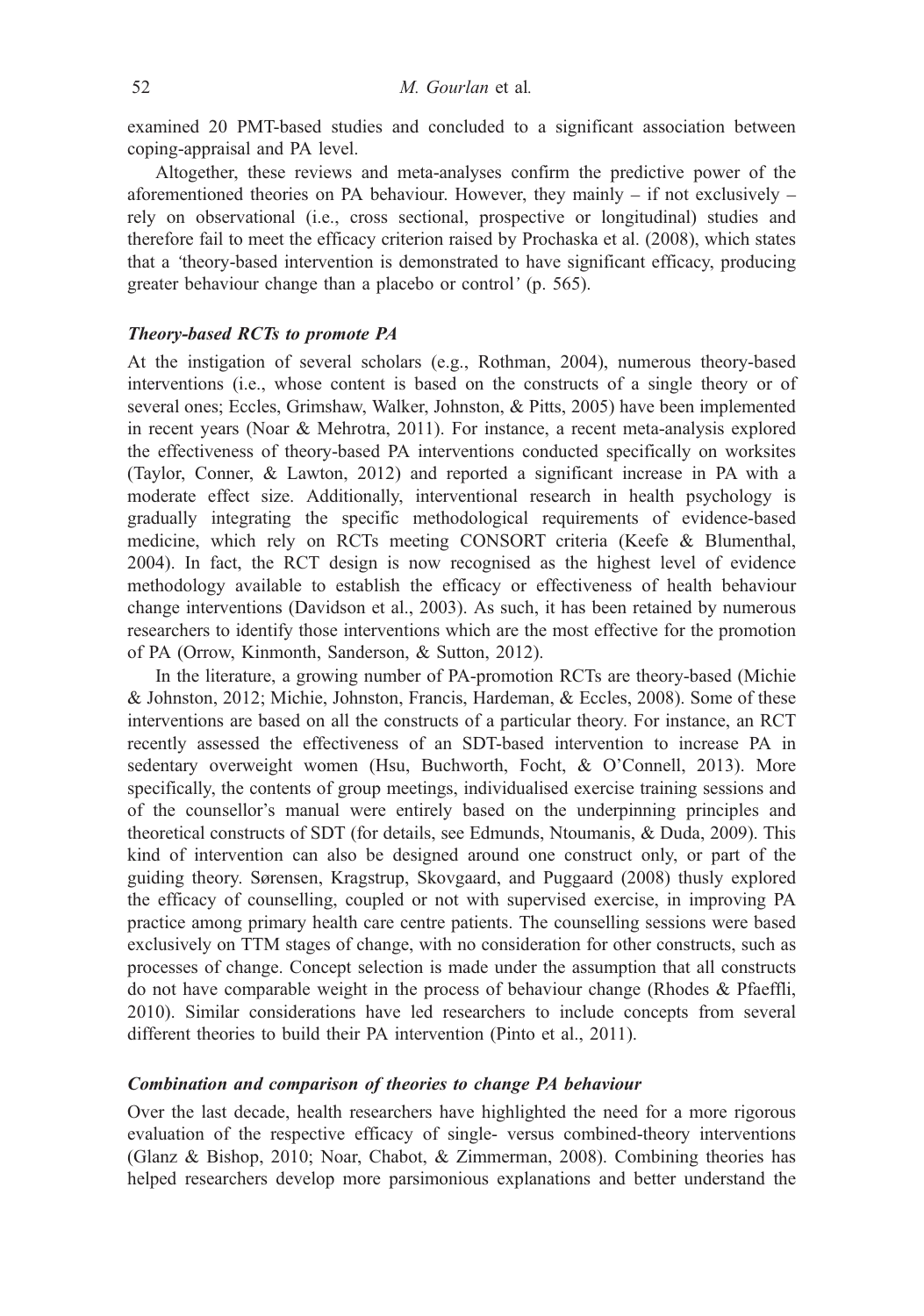examined 20 PMT-based studies and concluded to a significant association between coping-appraisal and PA level.

Altogether, these reviews and meta-analyses confirm the predictive power of the aforementioned theories on PA behaviour. However, they mainly – if not exclusively – rely on observational (i.e., cross sectional, prospective or longitudinal) studies and therefore fail to meet the efficacy criterion raised by Prochaska et al. ([2008\)](#page-16-0), which states that a 'theory-based intervention is demonstrated to have significant efficacy, producing greater behaviour change than a placebo or control' (p. 565).

## Theory-based RCTs to promote PA

At the instigation of several scholars (e.g., Rothman, [2004](#page-17-0)), numerous theory-based interventions (i.e., whose content is based on the constructs of a single theory or of several ones; Eccles, Grimshaw, Walker, Johnston, & Pitts, [2005](#page-14-0)) have been implemented in recent years (Noar & Mehrotra, [2011\)](#page-16-0). For instance, a recent meta-analysis explored the effectiveness of theory-based PA interventions conducted specifically on worksites (Taylor, Conner, & Lawton, [2012\)](#page-17-0) and reported a significant increase in PA with a moderate effect size. Additionally, interventional research in health psychology is gradually integrating the specific methodological requirements of evidence-based medicine, which rely on RCTs meeting CONSORT criteria (Keefe & Blumenthal, [2004\)](#page-15-0). In fact, the RCT design is now recognised as the highest level of evidence methodology available to establish the efficacy or effectiveness of health behaviour change interventions (Davidson et al., [2003](#page-14-0)). As such, it has been retained by numerous researchers to identify those interventions which are the most effective for the promotion of PA (Orrow, Kinmonth, Sanderson, & Sutton, [2012\)](#page-16-0).

In the literature, a growing number of PA-promotion RCTs are theory-based (Michie & Johnston, [2012;](#page-15-0) Michie, Johnston, Francis, Hardeman, & Eccles, [2008](#page-16-0)). Some of these interventions are based on all the constructs of a particular theory. For instance, an RCT recently assessed the effectiveness of an SDT-based intervention to increase PA in sedentary overweight women (Hsu, Buchworth, Focht, & O'Connell, [2013](#page-15-0)). More specifically, the contents of group meetings, individualised exercise training sessions and of the counsellor's manual were entirely based on the underpinning principles and theoretical constructs of SDT (for details, see Edmunds, Ntoumanis, & Duda, [2009](#page-14-0)). This kind of intervention can also be designed around one construct only, or part of the guiding theory. Sørensen, Kragstrup, Skovgaard, and Puggaard ([2008\)](#page-17-0) thusly explored the efficacy of counselling, coupled or not with supervised exercise, in improving PA practice among primary health care centre patients. The counselling sessions were based exclusively on TTM stages of change, with no consideration for other constructs, such as processes of change. Concept selection is made under the assumption that all constructs do not have comparable weight in the process of behaviour change (Rhodes & Pfaeffli, [2010\)](#page-16-0). Similar considerations have led researchers to include concepts from several different theories to build their PA intervention (Pinto et al., [2011\)](#page-16-0).

## Combination and comparison of theories to change PA behaviour

Over the last decade, health researchers have highlighted the need for a more rigorous evaluation of the respective efficacy of single- versus combined-theory interventions (Glanz & Bishop, [2010;](#page-14-0) Noar, Chabot, & Zimmerman, [2008\)](#page-16-0). Combining theories has helped researchers develop more parsimonious explanations and better understand the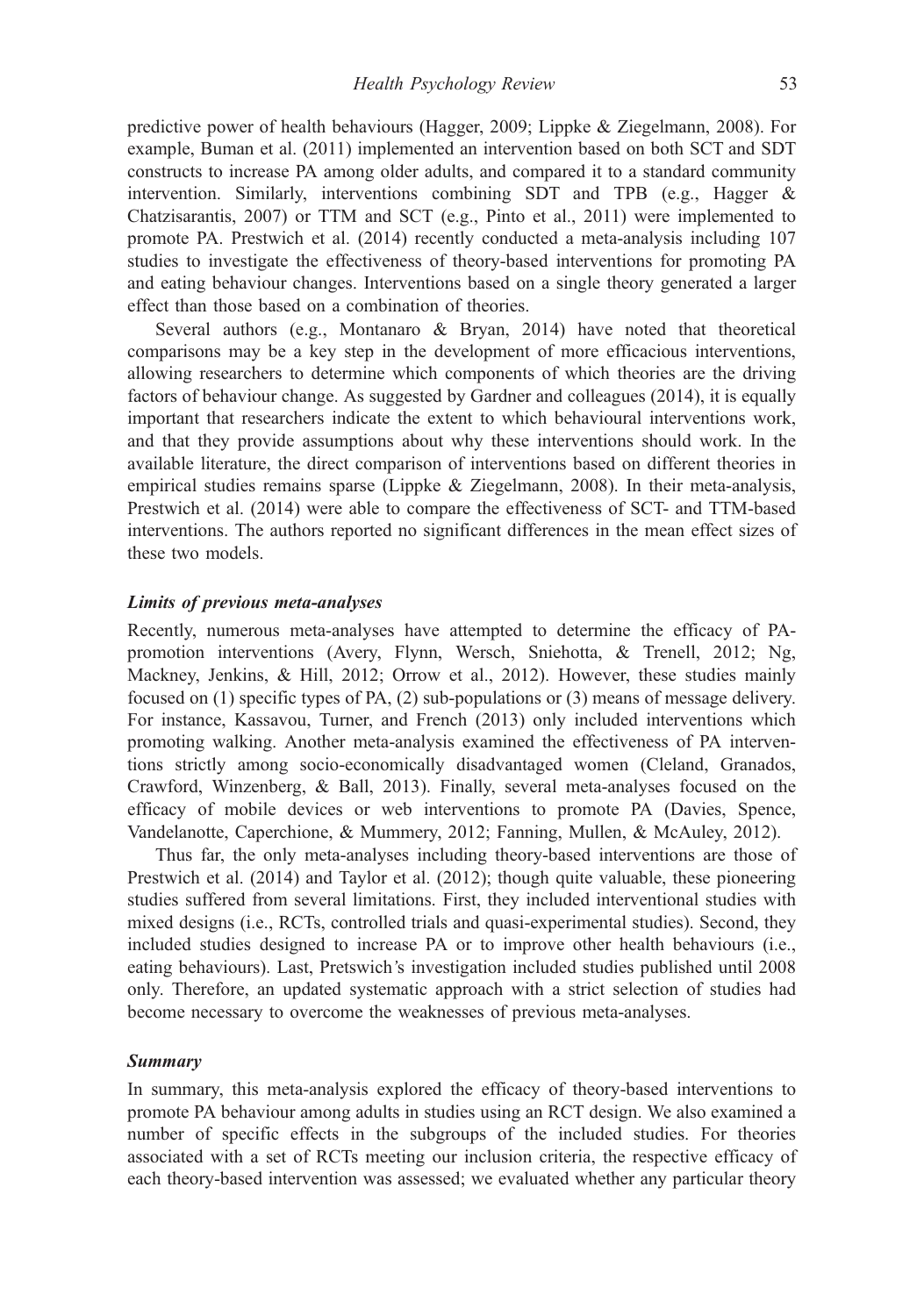predictive power of health behaviours (Hagger, [2009;](#page-15-0) Lippke & Ziegelmann, [2008\)](#page-15-0). For example, Buman et al. ([2011\)](#page-14-0) implemented an intervention based on both SCT and SDT constructs to increase PA among older adults, and compared it to a standard community intervention. Similarly, interventions combining SDT and TPB (e.g., Hagger & Chatzisarantis, [2007](#page-15-0)) or TTM and SCT (e.g., Pinto et al., [2011](#page-16-0)) were implemented to promote PA. Prestwich et al. [\(2014](#page-16-0)) recently conducted a meta-analysis including 107 studies to investigate the effectiveness of theory-based interventions for promoting PA and eating behaviour changes. Interventions based on a single theory generated a larger effect than those based on a combination of theories.

Several authors (e.g., Montanaro & Bryan, [2014\)](#page-16-0) have noted that theoretical comparisons may be a key step in the development of more efficacious interventions, allowing researchers to determine which components of which theories are the driving factors of behaviour change. As suggested by Gardner and colleagues (2014), it is equally important that researchers indicate the extent to which behavioural interventions work, and that they provide assumptions about why these interventions should work. In the available literature, the direct comparison of interventions based on different theories in empirical studies remains sparse (Lippke & Ziegelmann, [2008\)](#page-15-0). In their meta-analysis, Prestwich et al. [\(2014](#page-16-0)) were able to compare the effectiveness of SCT- and TTM-based interventions. The authors reported no significant differences in the mean effect sizes of these two models.

## Limits of previous meta-analyses

Recently, numerous meta-analyses have attempted to determine the efficacy of PApromotion interventions (Avery, Flynn, Wersch, Sniehotta, & Trenell, [2012;](#page-13-0) Ng, Mackney, Jenkins, & Hill, [2012](#page-16-0); Orrow et al., [2012\)](#page-16-0). However, these studies mainly focused on (1) specific types of PA, (2) sub-populations or (3) means of message delivery. For instance, Kassavou, Turner, and French [\(2013](#page-15-0)) only included interventions which promoting walking. Another meta-analysis examined the effectiveness of PA interventions strictly among socio-economically disadvantaged women (Cleland, Granados, Crawford, Winzenberg, & Ball, [2013\)](#page-14-0). Finally, several meta-analyses focused on the efficacy of mobile devices or web interventions to promote PA (Davies, Spence, Vandelanotte, Caperchione, & Mummery, [2012](#page-14-0); Fanning, Mullen, & McAuley, [2012\)](#page-14-0).

Thus far, the only meta-analyses including theory-based interventions are those of Prestwich et al. ([2014\)](#page-16-0) and Taylor et al. ([2012\)](#page-17-0); though quite valuable, these pioneering studies suffered from several limitations. First, they included interventional studies with mixed designs (i.e., RCTs, controlled trials and quasi-experimental studies). Second, they included studies designed to increase PA or to improve other health behaviours (i.e., eating behaviours). Last, Pretswich's investigation included studies published until 2008 only. Therefore, an updated systematic approach with a strict selection of studies had become necessary to overcome the weaknesses of previous meta-analyses.

## Summary

In summary, this meta-analysis explored the efficacy of theory-based interventions to promote PA behaviour among adults in studies using an RCT design. We also examined a number of specific effects in the subgroups of the included studies. For theories associated with a set of RCTs meeting our inclusion criteria, the respective efficacy of each theory-based intervention was assessed; we evaluated whether any particular theory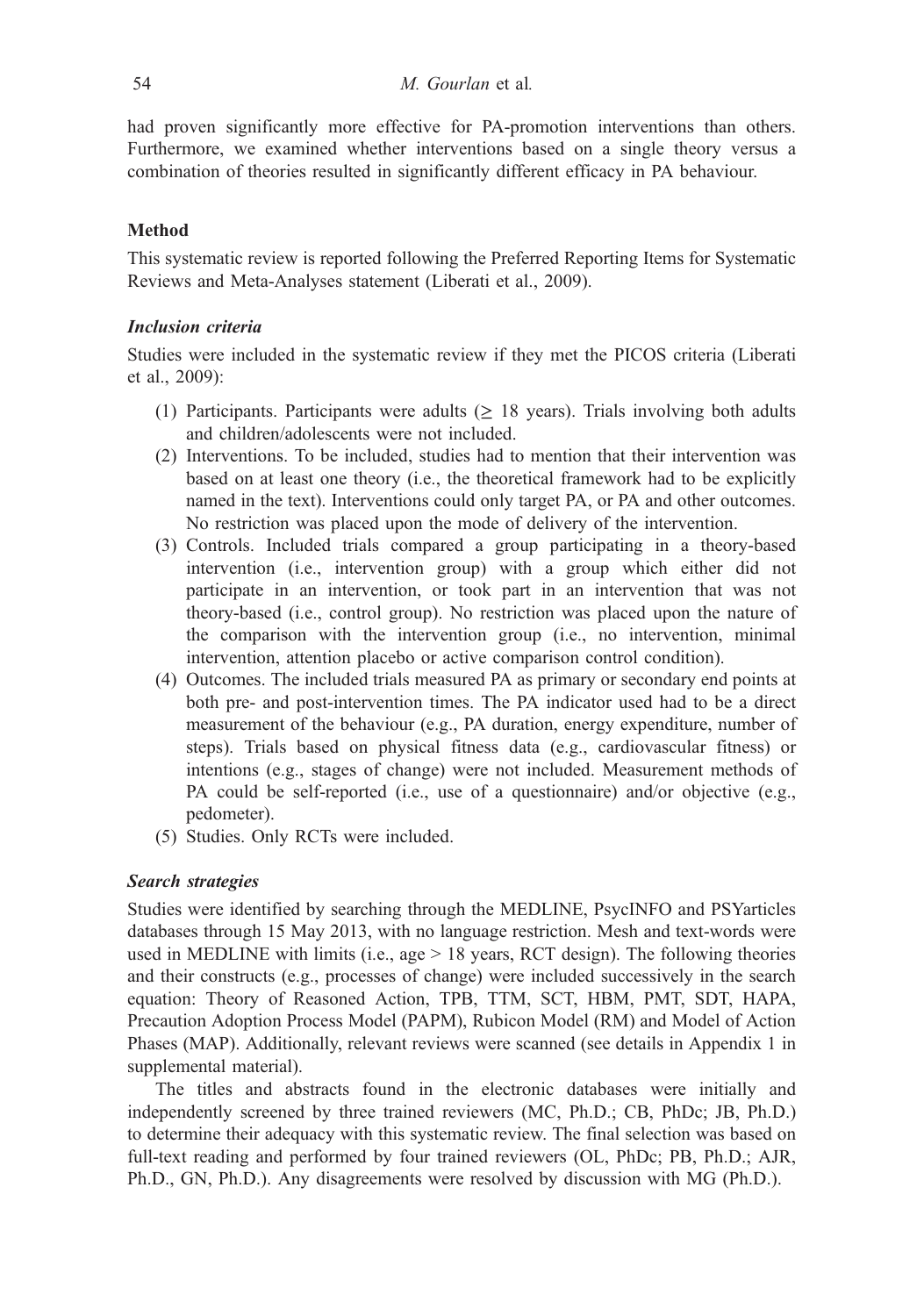had proven significantly more effective for PA-promotion interventions than others. Furthermore, we examined whether interventions based on a single theory versus a combination of theories resulted in significantly different efficacy in PA behaviour.

## Method

This systematic review is reported following the Preferred Reporting Items for Systematic Reviews and Meta-Analyses statement (Liberati et al., [2009\)](#page-15-0).

## Inclusion criteria

Studies were included in the systematic review if they met the PICOS criteria (Liberati et al., [2009\)](#page-15-0):

- (1) Participants. Participants were adults ( $\geq$  18 years). Trials involving both adults and children/adolescents were not included.
- (2) Interventions. To be included, studies had to mention that their intervention was based on at least one theory (i.e., the theoretical framework had to be explicitly named in the text). Interventions could only target PA, or PA and other outcomes. No restriction was placed upon the mode of delivery of the intervention.
- (3) Controls. Included trials compared a group participating in a theory-based intervention (i.e., intervention group) with a group which either did not participate in an intervention, or took part in an intervention that was not theory-based (i.e., control group). No restriction was placed upon the nature of the comparison with the intervention group (i.e., no intervention, minimal intervention, attention placebo or active comparison control condition).
- (4) Outcomes. The included trials measured PA as primary or secondary end points at both pre- and post-intervention times. The PA indicator used had to be a direct measurement of the behaviour (e.g., PA duration, energy expenditure, number of steps). Trials based on physical fitness data (e.g., cardiovascular fitness) or intentions (e.g., stages of change) were not included. Measurement methods of PA could be self-reported (i.e., use of a questionnaire) and/or objective (e.g., pedometer).
- (5) Studies. Only RCTs were included.

## Search strategies

Studies were identified by searching through the MEDLINE, PsycINFO and PSYarticles databases through 15 May 2013, with no language restriction. Mesh and text-words were used in MEDLINE with limits (i.e.,  $age > 18$  years, RCT design). The following theories and their constructs (e.g., processes of change) were included successively in the search equation: Theory of Reasoned Action, TPB, TTM, SCT, HBM, PMT, SDT, HAPA, Precaution Adoption Process Model (PAPM), Rubicon Model (RM) and Model of Action Phases (MAP). Additionally, relevant reviews were scanned (see details in Appendix 1 in [supplemental material](#page-13-0)).

The titles and abstracts found in the electronic databases were initially and independently screened by three trained reviewers (MC, Ph.D.; CB, PhDc; JB, Ph.D.) to determine their adequacy with this systematic review. The final selection was based on full-text reading and performed by four trained reviewers (OL, PhDc; PB, Ph.D.; AJR, Ph.D., GN, Ph.D.). Any disagreements were resolved by discussion with MG (Ph.D.).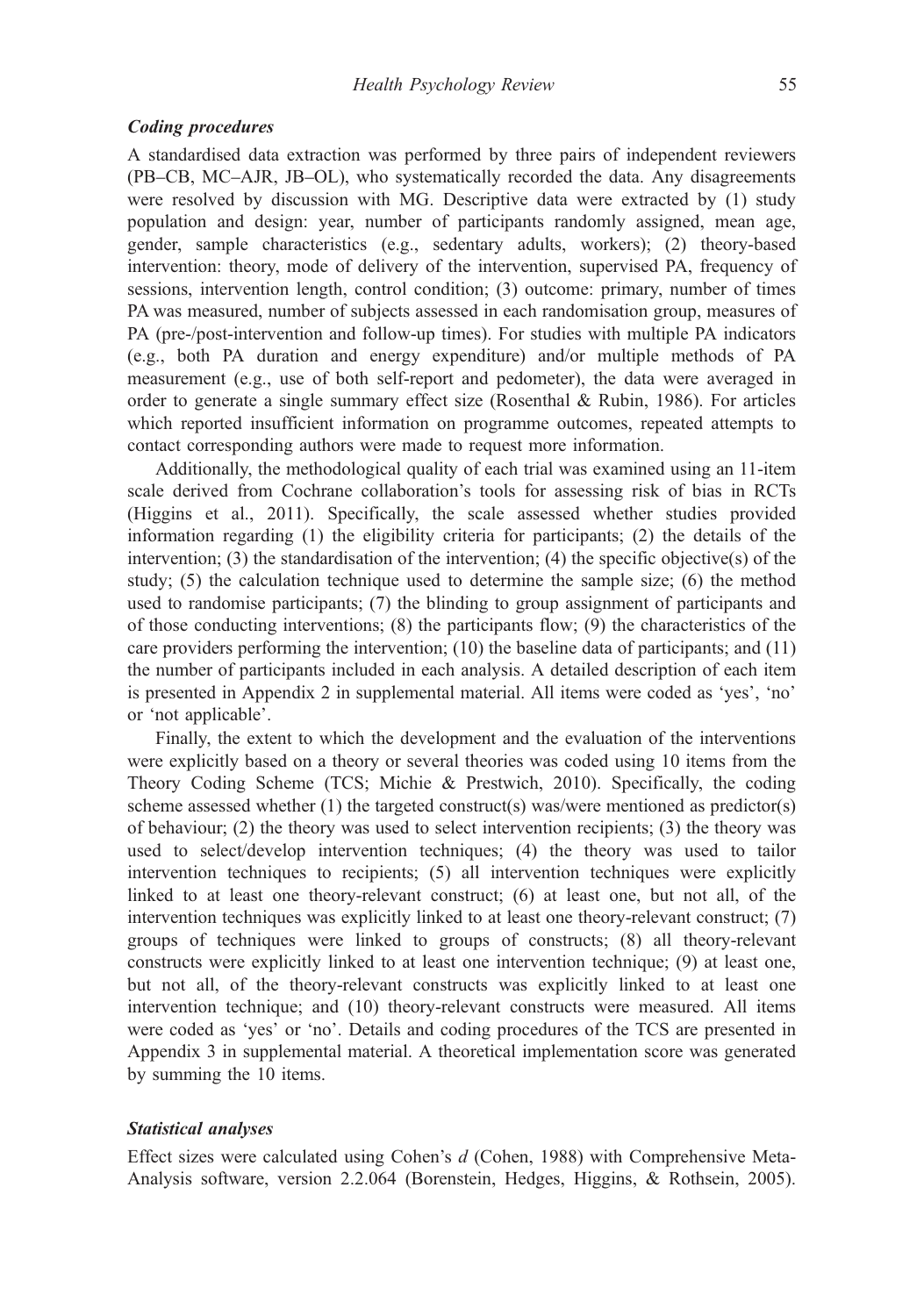## Coding procedures

A standardised data extraction was performed by three pairs of independent reviewers (PB–CB, MC–AJR, JB–OL), who systematically recorded the data. Any disagreements were resolved by discussion with MG. Descriptive data were extracted by (1) study population and design: year, number of participants randomly assigned, mean age, gender, sample characteristics (e.g., sedentary adults, workers); (2) theory-based intervention: theory, mode of delivery of the intervention, supervised PA, frequency of sessions, intervention length, control condition; (3) outcome: primary, number of times PA was measured, number of subjects assessed in each randomisation group, measures of PA (pre-/post-intervention and follow-up times). For studies with multiple PA indicators (e.g., both PA duration and energy expenditure) and/or multiple methods of PA measurement (e.g., use of both self-report and pedometer), the data were averaged in order to generate a single summary effect size (Rosenthal & Rubin, [1986](#page-17-0)). For articles which reported insufficient information on programme outcomes, repeated attempts to contact corresponding authors were made to request more information.

Additionally, the methodological quality of each trial was examined using an 11-item scale derived from Cochrane collaboration's tools for assessing risk of bias in RCTs (Higgins et al., [2011](#page-15-0)). Specifically, the scale assessed whether studies provided information regarding (1) the eligibility criteria for participants; (2) the details of the intervention; (3) the standardisation of the intervention; (4) the specific objective(s) of the study; (5) the calculation technique used to determine the sample size; (6) the method used to randomise participants; (7) the blinding to group assignment of participants and of those conducting interventions; (8) the participants flow; (9) the characteristics of the care providers performing the intervention; (10) the baseline data of participants; and (11) the number of participants included in each analysis. A detailed description of each item is presented in Appendix 2 in [supplemental material.](#page-13-0) All items were coded as 'yes', 'no' or 'not applicable'.

Finally, the extent to which the development and the evaluation of the interventions were explicitly based on a theory or several theories was coded using 10 items from the Theory Coding Scheme (TCS; Michie & Prestwich, [2010\)](#page-16-0). Specifically, the coding scheme assessed whether (1) the targeted construct(s) was/were mentioned as predictor(s) of behaviour; (2) the theory was used to select intervention recipients; (3) the theory was used to select/develop intervention techniques; (4) the theory was used to tailor intervention techniques to recipients; (5) all intervention techniques were explicitly linked to at least one theory-relevant construct; (6) at least one, but not all, of the intervention techniques was explicitly linked to at least one theory-relevant construct; (7) groups of techniques were linked to groups of constructs; (8) all theory-relevant constructs were explicitly linked to at least one intervention technique; (9) at least one, but not all, of the theory-relevant constructs was explicitly linked to at least one intervention technique; and (10) theory-relevant constructs were measured. All items were coded as 'yes' or 'no'. Details and coding procedures of the TCS are presented in Appendix 3 in [supplemental material.](#page-13-0) A theoretical implementation score was generated by summing the 10 items.

## Statistical analyses

Effect sizes were calculated using Cohen's d (Cohen, [1988](#page-14-0)) with Comprehensive Meta-Analysis software, version 2.2.064 (Borenstein, Hedges, Higgins, & Rothsein, [2005](#page-13-0)).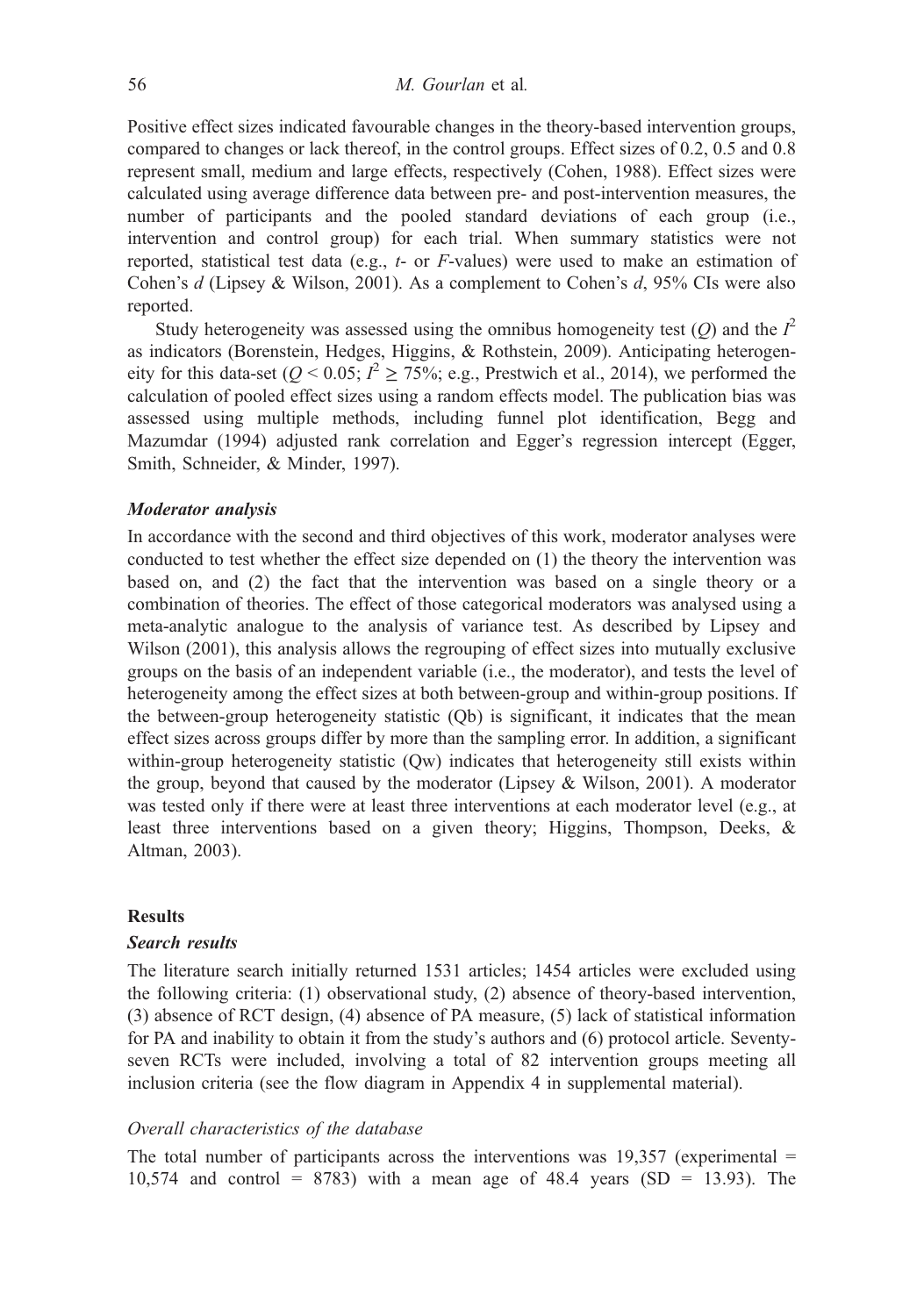Positive effect sizes indicated favourable changes in the theory-based intervention groups, compared to changes or lack thereof, in the control groups. Effect sizes of 0.2, 0.5 and 0.8 represent small, medium and large effects, respectively (Cohen, [1988\)](#page-14-0). Effect sizes were calculated using average difference data between pre- and post-intervention measures, the number of participants and the pooled standard deviations of each group (i.e., intervention and control group) for each trial. When summary statistics were not reported, statistical test data (e.g.,  $t$ - or  $F$ -values) were used to make an estimation of Cohen's d (Lipsey & Wilson, [2001\)](#page-15-0). As a complement to Cohen's d,  $95\%$  CIs were also reported.

Study heterogeneity was assessed using the omnibus homogeneity test  $(Q)$  and the  $I^2$ as indicators (Borenstein, Hedges, Higgins, & Rothstein, [2009](#page-13-0)). Anticipating heterogeneity for this data-set ( $Q < 0.05$ ;  $I^2 \ge 75$ %; e.g., Prestwich et al., [2014\)](#page-16-0), we performed the calculation of pooled effect sizes using a random effects model. The publication bias was assessed using multiple methods, including funnel plot identification, Begg and Mazumdar [\(1994](#page-13-0)) adjusted rank correlation and Egger's regression intercept (Egger, Smith, Schneider, & Minder, [1997](#page-14-0)).

#### Moderator analysis

In accordance with the second and third objectives of this work, moderator analyses were conducted to test whether the effect size depended on (1) the theory the intervention was based on, and (2) the fact that the intervention was based on a single theory or a combination of theories. The effect of those categorical moderators was analysed using a meta-analytic analogue to the analysis of variance test. As described by Lipsey and Wilson ([2001](#page-15-0)), this analysis allows the regrouping of effect sizes into mutually exclusive groups on the basis of an independent variable (i.e., the moderator), and tests the level of heterogeneity among the effect sizes at both between-group and within-group positions. If the between-group heterogeneity statistic (Qb) is significant, it indicates that the mean effect sizes across groups differ by more than the sampling error. In addition, a significant within-group heterogeneity statistic (Qw) indicates that heterogeneity still exists within the group, beyond that caused by the moderator (Lipsey & Wilson, [2001\)](#page-15-0). A moderator was tested only if there were at least three interventions at each moderator level (e.g., at least three interventions based on a given theory; Higgins, Thompson, Deeks, & Altman, [2003](#page-15-0)).

## **Results**

#### Search results

The literature search initially returned 1531 articles; 1454 articles were excluded using the following criteria: (1) observational study, (2) absence of theory-based intervention, (3) absence of RCT design, (4) absence of PA measure, (5) lack of statistical information for PA and inability to obtain it from the study's authors and (6) protocol article. Seventyseven RCTs were included, involving a total of 82 intervention groups meeting all inclusion criteria (see the flow diagram in Appendix 4 in [supplemental material](#page-13-0)).

## Overall characteristics of the database

The total number of participants across the interventions was  $19,357$  (experimental  $=$  $10,574$  and control = 8783) with a mean age of 48.4 years (SD = 13.93). The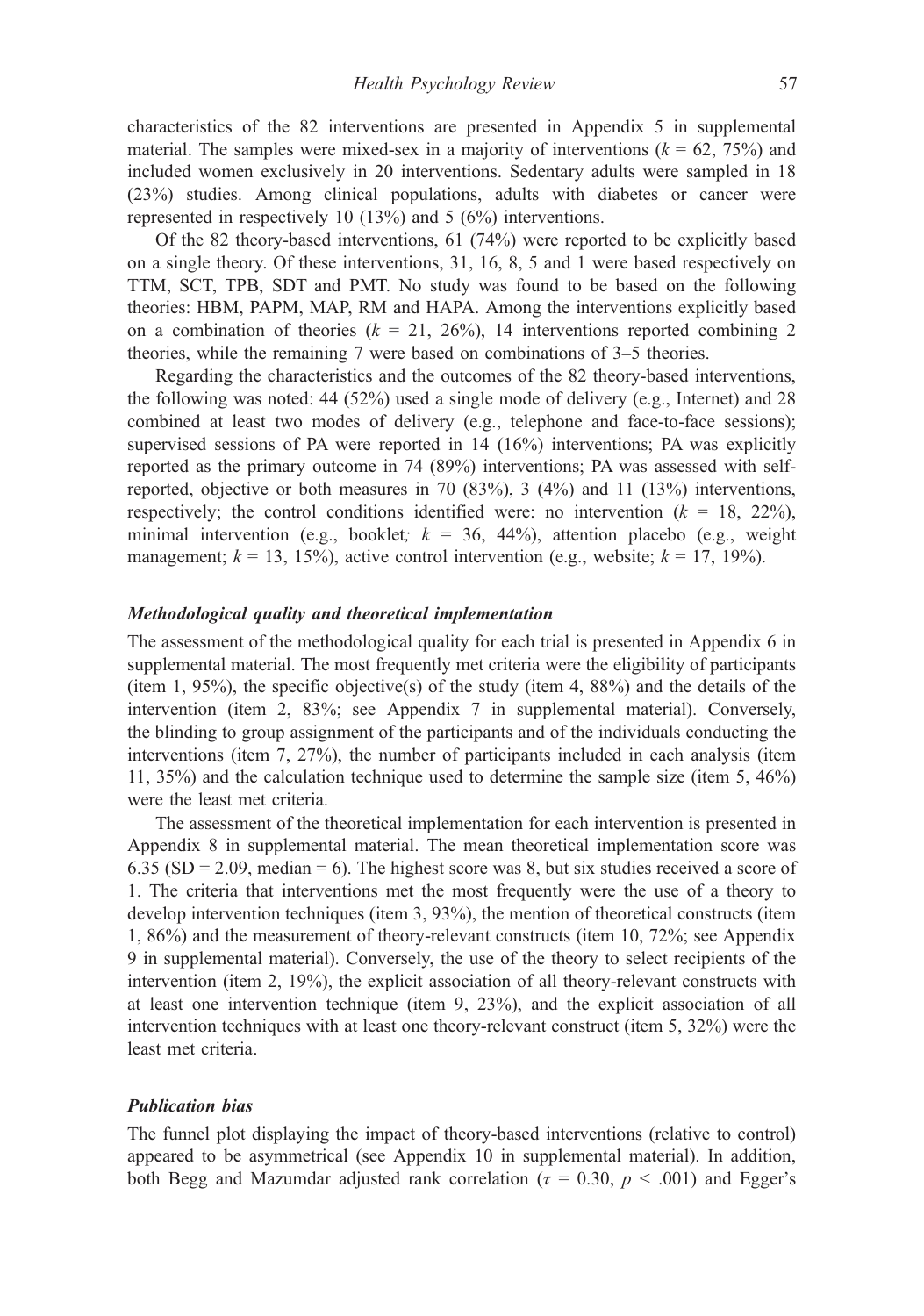characteristics of the 82 interventions are presented in Appendix 5 in [supplemental](#page-13-0) [material](#page-13-0). The samples were mixed-sex in a majority of interventions  $(k = 62, 75%)$  and included women exclusively in 20 interventions. Sedentary adults were sampled in 18 (23%) studies. Among clinical populations, adults with diabetes or cancer were represented in respectively 10 (13%) and 5 (6%) interventions.

Of the 82 theory-based interventions, 61 (74%) were reported to be explicitly based on a single theory. Of these interventions, 31, 16, 8, 5 and 1 were based respectively on TTM, SCT, TPB, SDT and PMT. No study was found to be based on the following theories: HBM, PAPM, MAP, RM and HAPA. Among the interventions explicitly based on a combination of theories ( $k = 21, 26\%$ ), 14 interventions reported combining 2 theories, while the remaining 7 were based on combinations of 3–5 theories.

Regarding the characteristics and the outcomes of the 82 theory-based interventions, the following was noted:  $44$  (52%) used a single mode of delivery (e.g., Internet) and 28 combined at least two modes of delivery (e.g., telephone and face-to-face sessions); supervised sessions of PA were reported in 14 (16%) interventions; PA was explicitly reported as the primary outcome in 74 (89%) interventions; PA was assessed with selfreported, objective or both measures in 70  $(83\%)$ , 3  $(4\%)$  and 11  $(13\%)$  interventions, respectively; the control conditions identified were: no intervention  $(k = 18, 22\%)$ , minimal intervention (e.g., booklet;  $k = 36, 44\%$ ), attention placebo (e.g., weight management;  $k = 13, 15\%$ , active control intervention (e.g., website;  $k = 17, 19\%$ ).

#### Methodological quality and theoretical implementation

The assessment of the methodological quality for each trial is presented in Appendix 6 in [supplemental material](#page-13-0). The most frequently met criteria were the eligibility of participants (item 1, 95%), the specific objective(s) of the study (item 4, 88%) and the details of the intervention (item 2, 83%; see Appendix 7 in [supplemental material\)](#page-13-0). Conversely, the blinding to group assignment of the participants and of the individuals conducting the interventions (item 7, 27%), the number of participants included in each analysis (item 11, 35%) and the calculation technique used to determine the sample size (item 5, 46%) were the least met criteria.

The assessment of the theoretical implementation for each intervention is presented in Appendix 8 in [supplemental material](#page-13-0). The mean theoretical implementation score was 6.35 (SD = 2.09, median = 6). The highest score was 8, but six studies received a score of 1. The criteria that interventions met the most frequently were the use of a theory to develop intervention techniques (item 3, 93%), the mention of theoretical constructs (item 1, 86%) and the measurement of theory-relevant constructs (item 10, 72%; see Appendix 9 in [supplemental material\)](#page-13-0). Conversely, the use of the theory to select recipients of the intervention (item 2, 19%), the explicit association of all theory-relevant constructs with at least one intervention technique (item 9, 23%), and the explicit association of all intervention techniques with at least one theory-relevant construct (item 5, 32%) were the least met criteria.

#### Publication bias

The funnel plot displaying the impact of theory-based interventions (relative to control) appeared to be asymmetrical (see Appendix 10 in [supplemental material](#page-13-0)). In addition, both Begg and Mazumdar adjusted rank correlation ( $\tau = 0.30$ ,  $p < .001$ ) and Egger's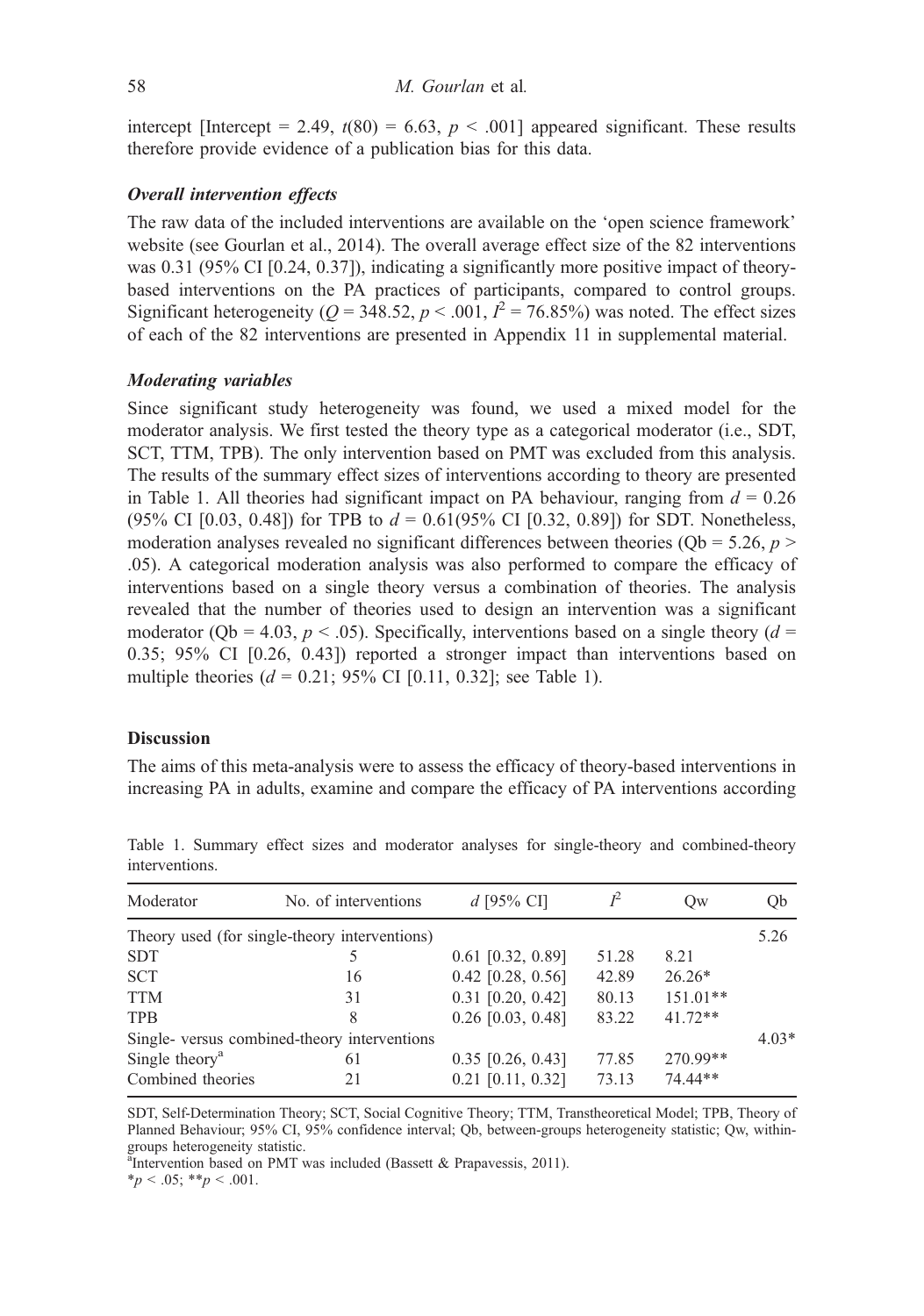intercept [Intercept = 2.49,  $t(80) = 6.63$ ,  $p < .001$ ] appeared significant. These results therefore provide evidence of a publication bias for this data.

## Overall intervention effects

The raw data of the included interventions are available on the 'open science framework' website (see Gourlan et al., [2014](#page-14-0)). The overall average effect size of the 82 interventions was 0.31 (95% CI [0.24, 0.37]), indicating a significantly more positive impact of theorybased interventions on the PA practices of participants, compared to control groups. Significant heterogeneity ( $Q = 348.52$ ,  $p < .001$ ,  $I^2 = 76.85\%$ ) was noted. The effect sizes of each of the 82 interventions are presented in Appendix 11 in [supplemental material](#page-13-0).

## Moderating variables

Since significant study heterogeneity was found, we used a mixed model for the moderator analysis. We first tested the theory type as a categorical moderator (i.e., SDT, SCT, TTM, TPB). The only intervention based on PMT was excluded from this analysis. The results of the summary effect sizes of interventions according to theory are presented in Table 1. All theories had significant impact on PA behaviour, ranging from  $d = 0.26$ (95% CI [0.03, 0.48]) for TPB to  $d = 0.61(95\% \text{ CI} [0.32, 0.89])$  for SDT. Nonetheless, moderation analyses revealed no significant differences between theories ( $Qb = 5.26$ ,  $p >$ .05). A categorical moderation analysis was also performed to compare the efficacy of interventions based on a single theory versus a combination of theories. The analysis revealed that the number of theories used to design an intervention was a significant moderator (Qb = 4.03,  $p < .05$ ). Specifically, interventions based on a single theory ( $d =$ 0.35; 95% CI [0.26, 0.43]) reported a stronger impact than interventions based on multiple theories ( $d = 0.21$ ; 95% CI [0.11, 0.32]; see Table 1).

## **Discussion**

The aims of this meta-analysis were to assess the efficacy of theory-based interventions in increasing PA in adults, examine and compare the efficacy of PA interventions according

| Moderator                                     | No. of interventions | $d$ [95% CI]        | $\tilde{I}^2$ | Ow         | Qb |  |
|-----------------------------------------------|----------------------|---------------------|---------------|------------|----|--|
| Theory used (for single-theory interventions) |                      |                     |               |            |    |  |
| <b>SDT</b>                                    |                      | $0.61$ [0.32, 0.89] | 51.28         | 8.21       |    |  |
| <b>SCT</b>                                    | 16                   | $0.42$ [0.28, 0.56] | 42.89         | $26.26*$   |    |  |
| <b>TTM</b>                                    | 31                   | $0.31$ [0.20, 0.42] | 80.13         | $151.01**$ |    |  |
| <b>TPB</b>                                    | 8                    | $0.26$ [0.03, 0.48] | 83.22         | $41.72**$  |    |  |
| Single- versus combined-theory interventions  |                      |                     |               |            |    |  |
| Single theory <sup>a</sup>                    | 61                   | $0.35$ [0.26, 0.43] | 77.85         | 270.99**   |    |  |
| Combined theories                             | 21                   | $0.21$ [0.11, 0.32] | 73.13         | 74.44**    |    |  |

Table 1. Summary effect sizes and moderator analyses for single-theory and combined-theory interventions.

SDT, Self-Determination Theory; SCT, Social Cognitive Theory; TTM, Transtheoretical Model; TPB, Theory of Planned Behaviour; 95% CI, 95% confidence interval; Qb, between-groups heterogeneity statistic; Qw, withingroups heterogeneity statistic.

<sup>a</sup>Intervention based on PMT was included (Bassett & Prapavessis, [2011\)](#page-13-0).

 $*_{p}$  < .05;  $*_{p}$  < .001.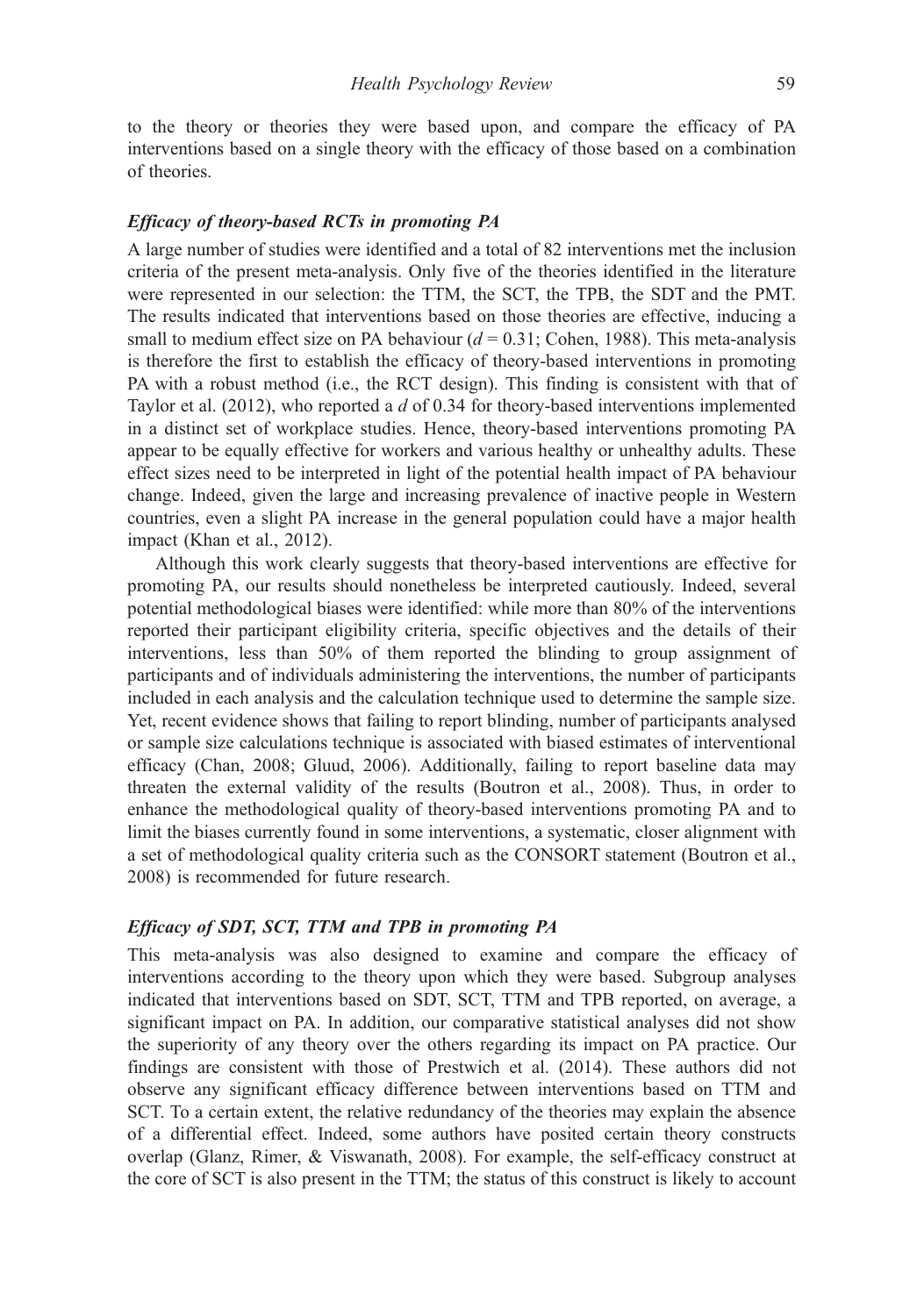to the theory or theories they were based upon, and compare the efficacy of PA interventions based on a single theory with the efficacy of those based on a combination of theories.

#### Efficacy of theory-based RCTs in promoting PA

A large number of studies were identified and a total of 82 interventions met the inclusion criteria of the present meta-analysis. Only five of the theories identified in the literature were represented in our selection: the TTM, the SCT, the TPB, the SDT and the PMT. The results indicated that interventions based on those theories are effective, inducing a small to medium effect size on PA behaviour  $(d = 0.31$ ; Cohen, [1988](#page-14-0)). This meta-analysis is therefore the first to establish the efficacy of theory-based interventions in promoting PA with a robust method (i.e., the RCT design). This finding is consistent with that of Taylor et al.  $(2012)$  $(2012)$ , who reported a d of 0.34 for theory-based interventions implemented in a distinct set of workplace studies. Hence, theory-based interventions promoting PA appear to be equally effective for workers and various healthy or unhealthy adults. These effect sizes need to be interpreted in light of the potential health impact of PA behaviour change. Indeed, given the large and increasing prevalence of inactive people in Western countries, even a slight PA increase in the general population could have a major health impact (Khan et al., [2012\)](#page-15-0).

Although this work clearly suggests that theory-based interventions are effective for promoting PA, our results should nonetheless be interpreted cautiously. Indeed, several potential methodological biases were identified: while more than 80% of the interventions reported their participant eligibility criteria, specific objectives and the details of their interventions, less than 50% of them reported the blinding to group assignment of participants and of individuals administering the interventions, the number of participants included in each analysis and the calculation technique used to determine the sample size. Yet, recent evidence shows that failing to report blinding, number of participants analysed or sample size calculations technique is associated with biased estimates of interventional efficacy (Chan, [2008](#page-14-0); Gluud, [2006\)](#page-14-0). Additionally, failing to report baseline data may threaten the external validity of the results (Boutron et al., [2008\)](#page-14-0). Thus, in order to enhance the methodological quality of theory-based interventions promoting PA and to limit the biases currently found in some interventions, a systematic, closer alignment with a set of methodological quality criteria such as the CONSORT statement (Boutron et al., [2008\)](#page-14-0) is recommended for future research.

## Efficacy of SDT, SCT, TTM and TPB in promoting PA

This meta-analysis was also designed to examine and compare the efficacy of interventions according to the theory upon which they were based. Subgroup analyses indicated that interventions based on SDT, SCT, TTM and TPB reported, on average, a significant impact on PA. In addition, our comparative statistical analyses did not show the superiority of any theory over the others regarding its impact on PA practice. Our findings are consistent with those of Prestwich et al. ([2014\)](#page-16-0). These authors did not observe any significant efficacy difference between interventions based on TTM and SCT. To a certain extent, the relative redundancy of the theories may explain the absence of a differential effect. Indeed, some authors have posited certain theory constructs overlap (Glanz, Rimer, & Viswanath, [2008\)](#page-14-0). For example, the self-efficacy construct at the core of SCT is also present in the TTM; the status of this construct is likely to account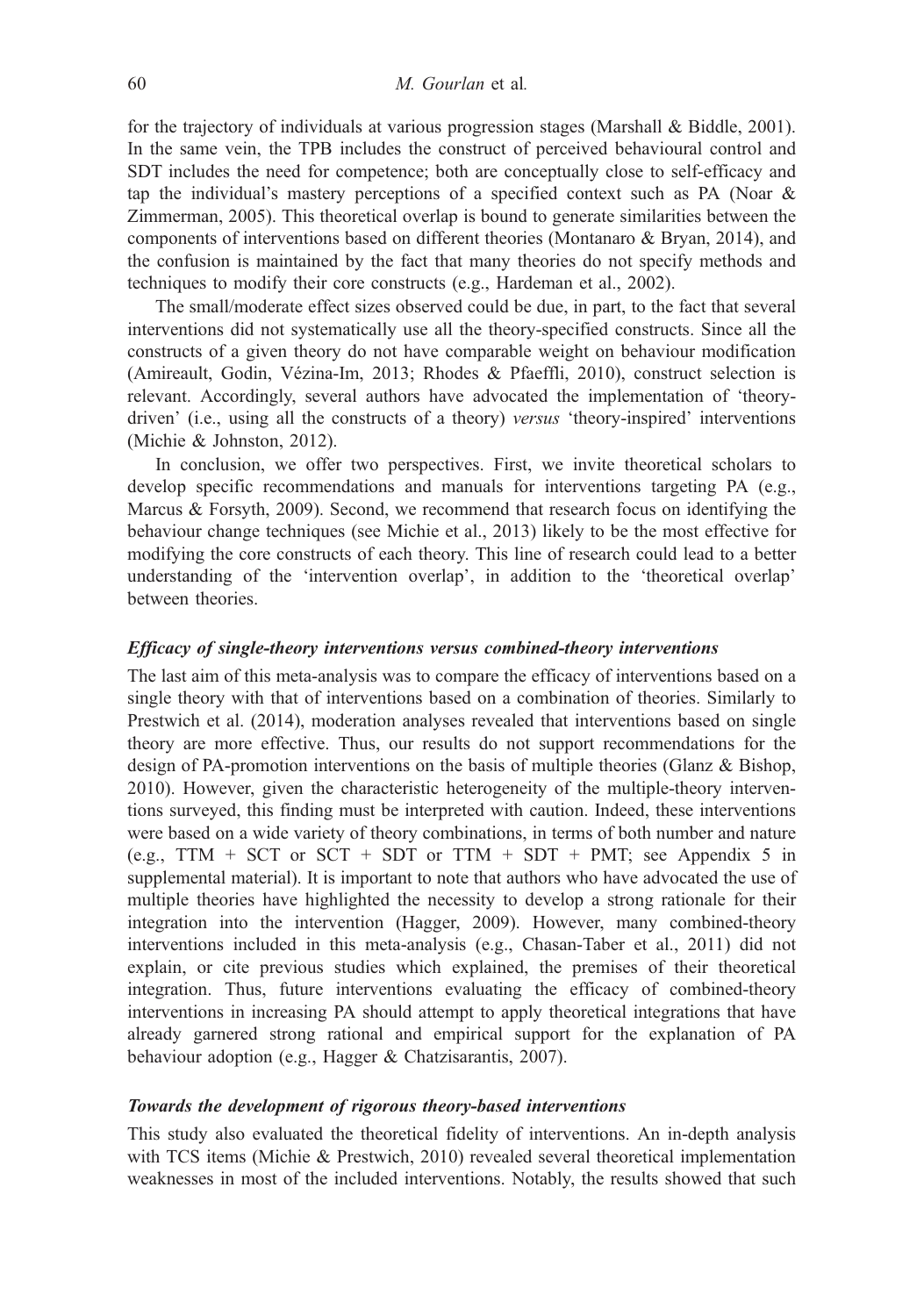for the trajectory of individuals at various progression stages (Marshall & Biddle, [2001](#page-15-0)). In the same vein, the TPB includes the construct of perceived behavioural control and SDT includes the need for competence; both are conceptually close to self-efficacy and tap the individual's mastery perceptions of a specified context such as PA (Noar  $\&$ Zimmerman, [2005\)](#page-16-0). This theoretical overlap is bound to generate similarities between the components of interventions based on different theories (Montanaro & Bryan, [2014](#page-16-0)), and the confusion is maintained by the fact that many theories do not specify methods and techniques to modify their core constructs (e.g., Hardeman et al., [2002](#page-15-0)).

The small/moderate effect sizes observed could be due, in part, to the fact that several interventions did not systematically use all the theory-specified constructs. Since all the constructs of a given theory do not have comparable weight on behaviour modification (Amireault, Godin, Vézina-Im, [2013;](#page-13-0) Rhodes & Pfaeffli, [2010](#page-16-0)), construct selection is relevant. Accordingly, several authors have advocated the implementation of 'theorydriven' (i.e., using all the constructs of a theory) versus 'theory-inspired' interventions (Michie & Johnston, [2012\)](#page-15-0).

In conclusion, we offer two perspectives. First, we invite theoretical scholars to develop specific recommendations and manuals for interventions targeting PA (e.g., Marcus & Forsyth, [2009](#page-15-0)). Second, we recommend that research focus on identifying the behaviour change techniques (see Michie et al., [2013](#page-16-0)) likely to be the most effective for modifying the core constructs of each theory. This line of research could lead to a better understanding of the 'intervention overlap', in addition to the 'theoretical overlap' between theories.

#### Efficacy of single-theory interventions versus combined-theory interventions

The last aim of this meta-analysis was to compare the efficacy of interventions based on a single theory with that of interventions based on a combination of theories. Similarly to Prestwich et al. [\(2014](#page-16-0)), moderation analyses revealed that interventions based on single theory are more effective. Thus, our results do not support recommendations for the design of PA-promotion interventions on the basis of multiple theories (Glanz & Bishop, [2010\)](#page-14-0). However, given the characteristic heterogeneity of the multiple-theory interventions surveyed, this finding must be interpreted with caution. Indeed, these interventions were based on a wide variety of theory combinations, in terms of both number and nature (e.g., TTM + SCT or SCT + SDT or TTM + SDT + PMT; see Appendix 5 in [supplemental material\)](#page-13-0). It is important to note that authors who have advocated the use of multiple theories have highlighted the necessity to develop a strong rationale for their integration into the intervention (Hagger, [2009](#page-15-0)). However, many combined-theory interventions included in this meta-analysis (e.g., Chasan-Taber et al., [2011\)](#page-14-0) did not explain, or cite previous studies which explained, the premises of their theoretical integration. Thus, future interventions evaluating the efficacy of combined-theory interventions in increasing PA should attempt to apply theoretical integrations that have already garnered strong rational and empirical support for the explanation of PA behaviour adoption (e.g., Hagger & Chatzisarantis, [2007](#page-15-0)).

#### Towards the development of rigorous theory-based interventions

This study also evaluated the theoretical fidelity of interventions. An in-depth analysis with TCS items (Michie & Prestwich, [2010\)](#page-16-0) revealed several theoretical implementation weaknesses in most of the included interventions. Notably, the results showed that such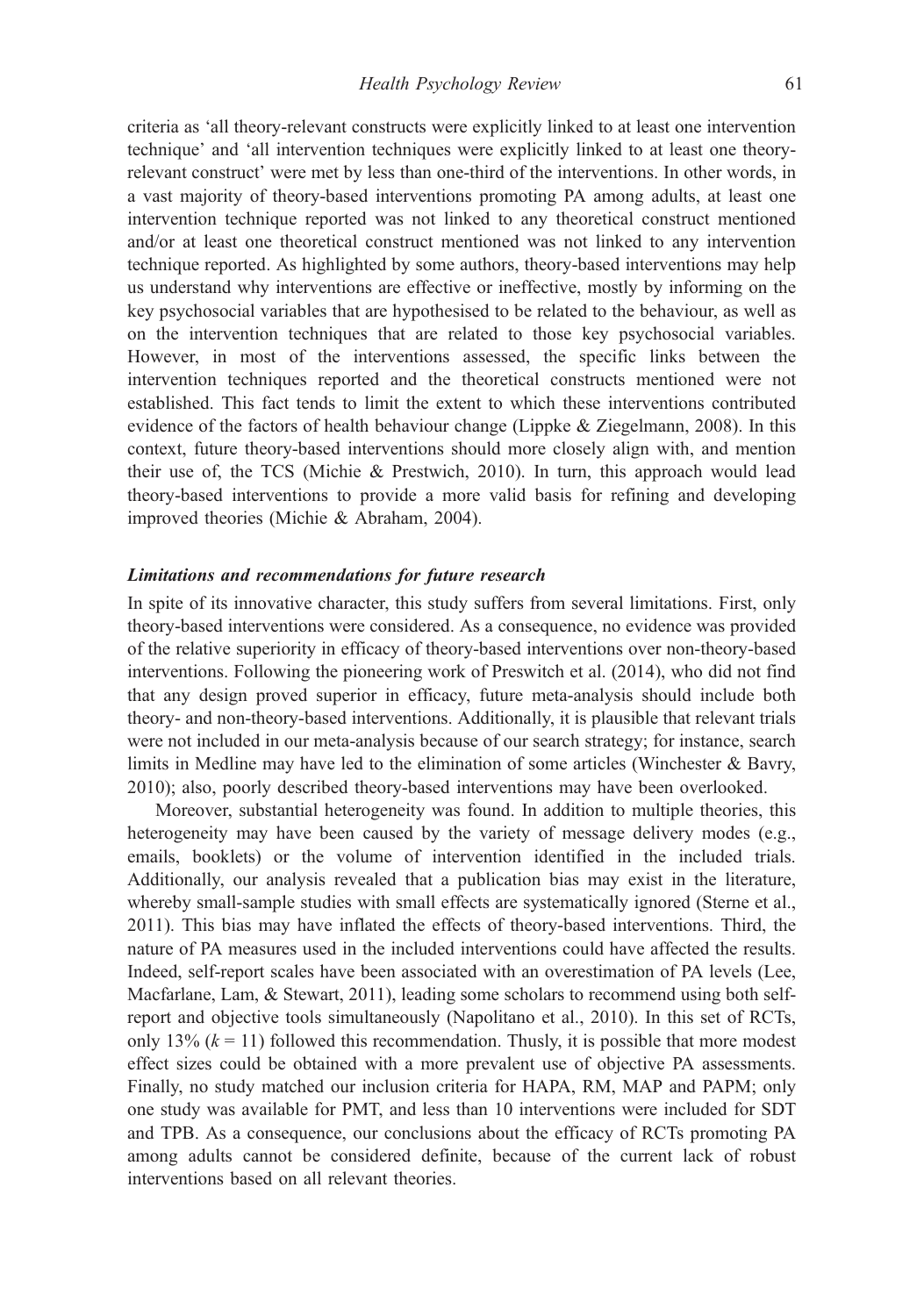criteria as 'all theory-relevant constructs were explicitly linked to at least one intervention technique' and 'all intervention techniques were explicitly linked to at least one theoryrelevant construct' were met by less than one-third of the interventions. In other words, in a vast majority of theory-based interventions promoting PA among adults, at least one intervention technique reported was not linked to any theoretical construct mentioned and/or at least one theoretical construct mentioned was not linked to any intervention technique reported. As highlighted by some authors, theory-based interventions may help us understand why interventions are effective or ineffective, mostly by informing on the key psychosocial variables that are hypothesised to be related to the behaviour, as well as on the intervention techniques that are related to those key psychosocial variables. However, in most of the interventions assessed, the specific links between the intervention techniques reported and the theoretical constructs mentioned were not established. This fact tends to limit the extent to which these interventions contributed evidence of the factors of health behaviour change (Lippke  $\&$  Ziegelmann, [2008](#page-15-0)). In this context, future theory-based interventions should more closely align with, and mention their use of, the TCS (Michie & Prestwich, [2010](#page-16-0)). In turn, this approach would lead theory-based interventions to provide a more valid basis for refining and developing improved theories (Michie & Abraham, [2004\)](#page-15-0).

## Limitations and recommendations for future research

In spite of its innovative character, this study suffers from several limitations. First, only theory-based interventions were considered. As a consequence, no evidence was provided of the relative superiority in efficacy of theory-based interventions over non-theory-based interventions. Following the pioneering work of Preswitch et al. ([2014\)](#page-16-0), who did not find that any design proved superior in efficacy, future meta-analysis should include both theory- and non-theory-based interventions. Additionally, it is plausible that relevant trials were not included in our meta-analysis because of our search strategy; for instance, search limits in Medline may have led to the elimination of some articles (Winchester & Bavry, [2010\)](#page-17-0); also, poorly described theory-based interventions may have been overlooked.

Moreover, substantial heterogeneity was found. In addition to multiple theories, this heterogeneity may have been caused by the variety of message delivery modes (e.g., emails, booklets) or the volume of intervention identified in the included trials. Additionally, our analysis revealed that a publication bias may exist in the literature, whereby small-sample studies with small effects are systematically ignored (Sterne et al., [2011\)](#page-17-0). This bias may have inflated the effects of theory-based interventions. Third, the nature of PA measures used in the included interventions could have affected the results. Indeed, self-report scales have been associated with an overestimation of PA levels (Lee, Macfarlane, Lam, & Stewart, [2011\)](#page-15-0), leading some scholars to recommend using both selfreport and objective tools simultaneously (Napolitano et al., [2010](#page-16-0)). In this set of RCTs, only 13%  $(k = 11)$  followed this recommendation. Thusly, it is possible that more modest effect sizes could be obtained with a more prevalent use of objective PA assessments. Finally, no study matched our inclusion criteria for HAPA, RM, MAP and PAPM; only one study was available for PMT, and less than 10 interventions were included for SDT and TPB. As a consequence, our conclusions about the efficacy of RCTs promoting PA among adults cannot be considered definite, because of the current lack of robust interventions based on all relevant theories.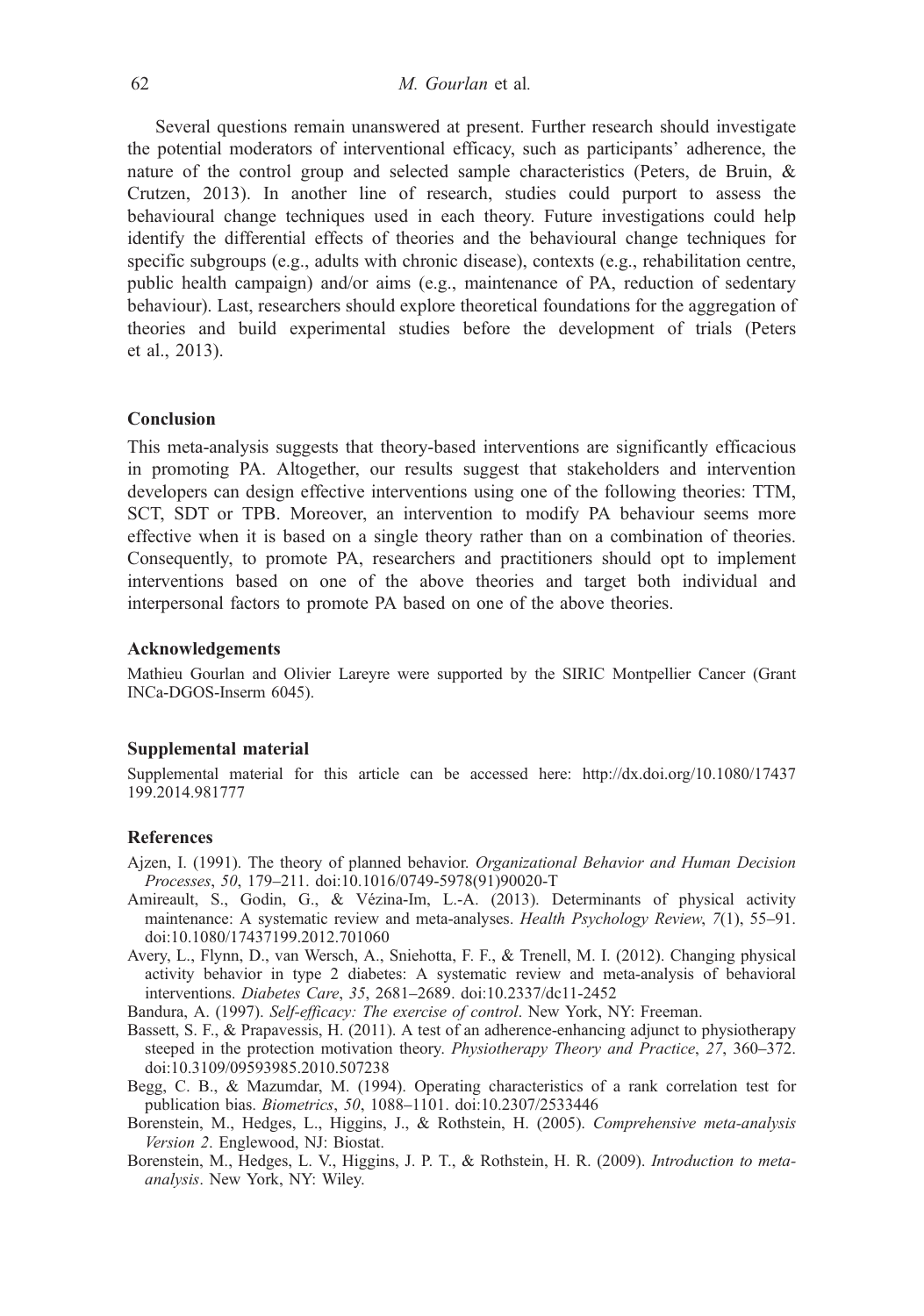<span id="page-13-0"></span>Several questions remain unanswered at present. Further research should investigate the potential moderators of interventional efficacy, such as participants' adherence, the nature of the control group and selected sample characteristics (Peters, de Bruin, & Crutzen, [2013](#page-16-0)). In another line of research, studies could purport to assess the behavioural change techniques used in each theory. Future investigations could help identify the differential effects of theories and the behavioural change techniques for specific subgroups (e.g., adults with chronic disease), contexts (e.g., rehabilitation centre, public health campaign) and/or aims (e.g., maintenance of PA, reduction of sedentary behaviour). Last, researchers should explore theoretical foundations for the aggregation of theories and build experimental studies before the development of trials (Peters et al., [2013\)](#page-16-0).

## Conclusion

This meta-analysis suggests that theory-based interventions are significantly efficacious in promoting PA. Altogether, our results suggest that stakeholders and intervention developers can design effective interventions using one of the following theories: TTM, SCT, SDT or TPB. Moreover, an intervention to modify PA behaviour seems more effective when it is based on a single theory rather than on a combination of theories. Consequently, to promote PA, researchers and practitioners should opt to implement interventions based on one of the above theories and target both individual and interpersonal factors to promote PA based on one of the above theories.

#### Acknowledgements

Mathieu Gourlan and Olivier Lareyre were supported by the SIRIC Montpellier Cancer (Grant INCa-DGOS-Inserm 6045).

#### Supplemental material

Supplemental material for this article can be accessed here: [http://dx.doi.org/10.1080/17437](http://dx.doi.org/10.1080/17437199.2014.981777) [199.2014.981777](http://dx.doi.org/10.1080/17437199.2014.981777)

#### References

- Ajzen, I. (1991). The theory of planned behavior. Organizational Behavior and Human Decision Processes, 50, 179–211. doi[:10.1016/0749-5978\(91\)90020-T](http://dx.doi.org/10.1016/0749-5978(91)90020-T)
- Amireault, S., Godin, G., & Vézina-Im, L.-A. (2013). Determinants of physical activity maintenance: A systematic review and meta-analyses. Health Psychology Review, 7(1), 55–91. doi[:10.1080/17437199.2012.701060](http://dx.doi.org/10.1080/17437199.2012.701060)
- Avery, L., Flynn, D., van Wersch, A., Sniehotta, F. F., & Trenell, M. I. (2012). Changing physical activity behavior in type 2 diabetes: A systematic review and meta-analysis of behavioral interventions. Diabetes Care, 35, 2681–2689. doi:[10.2337/dc11-2452](http://dx.doi.org/10.2337/dc11-2452)
- Bandura, A. (1997). Self-efficacy: The exercise of control. New York, NY: Freeman.
- Bassett, S. F., & Prapavessis, H. (2011). A test of an adherence-enhancing adjunct to physiotherapy steeped in the protection motivation theory. Physiotherapy Theory and Practice, 27, 360–372. doi[:10.3109/09593985.2010.507238](http://dx.doi.org/10.3109/09593985.2010.507238)
- Begg, C. B., & Mazumdar, M. (1994). Operating characteristics of a rank correlation test for publication bias. Biometrics, 50, 1088–1101. doi:[10.2307/2533446](http://dx.doi.org/10.2307/2533446)
- Borenstein, M., Hedges, L., Higgins, J., & Rothstein, H. (2005). Comprehensive meta-analysis Version 2. Englewood, NJ: Biostat.
- Borenstein, M., Hedges, L. V., Higgins, J. P. T., & Rothstein, H. R. (2009). Introduction to metaanalysis. New York, NY: Wiley.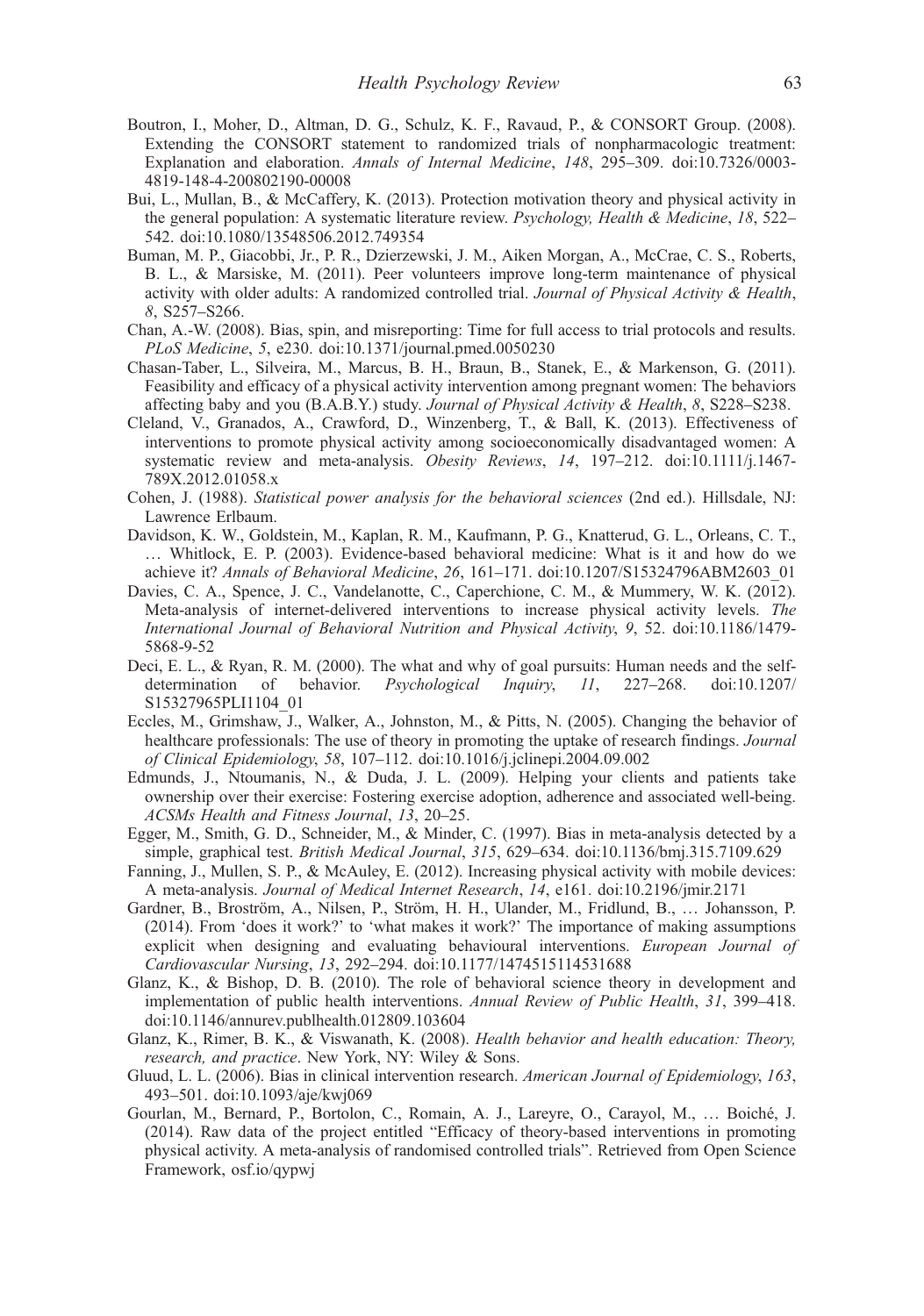- <span id="page-14-0"></span>Boutron, I., Moher, D., Altman, D. G., Schulz, K. F., Ravaud, P., & CONSORT Group. (2008). Extending the CONSORT statement to randomized trials of nonpharmacologic treatment: Explanation and elaboration. Annals of Internal Medicine, 148, 295–309. doi:[10.7326/0003-](http://dx.doi.org/10.7326/0003-4819-148-4-200802190-00008) [4819-148-4-200802190-00008](http://dx.doi.org/10.7326/0003-4819-148-4-200802190-00008)
- Bui, L., Mullan, B., & McCaffery, K. (2013). Protection motivation theory and physical activity in the general population: A systematic literature review. Psychology, Health & Medicine, 18, 522– 542. doi:[10.1080/13548506.2012.749354](http://dx.doi.org/10.1080/13548506.2012.749354)
- Buman, M. P., Giacobbi, Jr., P. R., Dzierzewski, J. M., Aiken Morgan, A., McCrae, C. S., Roberts, B. L., & Marsiske, M. (2011). Peer volunteers improve long-term maintenance of physical activity with older adults: A randomized controlled trial. Journal of Physical Activity & Health, 8, S257–S266.
- Chan, A.-W. (2008). Bias, spin, and misreporting: Time for full access to trial protocols and results. PLoS Medicine, 5, e230. doi[:10.1371/journal.pmed.0050230](http://dx.doi.org/10.1371/journal.pmed.0050230)
- Chasan-Taber, L., Silveira, M., Marcus, B. H., Braun, B., Stanek, E., & Markenson, G. (2011). Feasibility and efficacy of a physical activity intervention among pregnant women: The behaviors affecting baby and you (B.A.B.Y.) study. Journal of Physical Activity & Health, 8, S228–S238.
- Cleland, V., Granados, A., Crawford, D., Winzenberg, T., & Ball, K. (2013). Effectiveness of interventions to promote physical activity among socioeconomically disadvantaged women: A systematic review and meta-analysis. Obesity Reviews, 14, 197-212. doi:[10.1111/j.1467-](http://dx.doi.org/10.1111/j.1467-789X.2012.01058.x) [789X.2012.01058.x](http://dx.doi.org/10.1111/j.1467-789X.2012.01058.x)
- Cohen, J. (1988). Statistical power analysis for the behavioral sciences (2nd ed.). Hillsdale, NJ: Lawrence Erlbaum.
- Davidson, K. W., Goldstein, M., Kaplan, R. M., Kaufmann, P. G., Knatterud, G. L., Orleans, C. T., … Whitlock, E. P. (2003). Evidence-based behavioral medicine: What is it and how do we achieve it? Annals of Behavioral Medicine, 26, 161–171. doi[:10.1207/S15324796ABM2603\\_01](http://dx.doi.org/10.1207/S15324796ABM2603_01)
- Davies, C. A., Spence, J. C., Vandelanotte, C., Caperchione, C. M., & Mummery, W. K. (2012). Meta-analysis of internet-delivered interventions to increase physical activity levels. The International Journal of Behavioral Nutrition and Physical Activity, 9, 52. doi[:10.1186/1479-](http://dx.doi.org/10.1186/1479-5868-9-52) [5868-9-52](http://dx.doi.org/10.1186/1479-5868-9-52)
- Deci, E. L., & Ryan, R. M. (2000). The what and why of goal pursuits: Human needs and the selfdetermination of behavior. Psychological Inquiry, 11, 227–268. doi:[10.1207/](http://dx.doi.org/10.1207/S15327965PLI1104_01) [S15327965PLI1104\\_01](http://dx.doi.org/10.1207/S15327965PLI1104_01)
- Eccles, M., Grimshaw, J., Walker, A., Johnston, M., & Pitts, N. (2005). Changing the behavior of healthcare professionals: The use of theory in promoting the uptake of research findings. Journal of Clinical Epidemiology, 58, 107–112. doi[:10.1016/j.jclinepi.2004.09.002](http://dx.doi.org/10.1016/j.jclinepi.2004.09.002)
- Edmunds, J., Ntoumanis, N., & Duda, J. L. (2009). Helping your clients and patients take ownership over their exercise: Fostering exercise adoption, adherence and associated well-being. ACSMs Health and Fitness Journal, 13, 20–25.
- Egger, M., Smith, G. D., Schneider, M., & Minder, C. (1997). Bias in meta-analysis detected by a simple, graphical test. British Medical Journal, 315, 629–634. doi:[10.1136/bmj.315.7109.629](http://dx.doi.org/10.1136/bmj.315.7109.629)
- Fanning, J., Mullen, S. P., & McAuley, E. (2012). Increasing physical activity with mobile devices: A meta-analysis. Journal of Medical Internet Research, 14, e161. doi[:10.2196/jmir.2171](http://dx.doi.org/10.2196/jmir.2171)
- Gardner, B., Broström, A., Nilsen, P., Ström, H. H., Ulander, M., Fridlund, B., … Johansson, P. (2014). From 'does it work?' to 'what makes it work?' The importance of making assumptions explicit when designing and evaluating behavioural interventions. European Journal of Cardiovascular Nursing, 13, 292–294. doi:[10.1177/1474515114531688](http://dx.doi.org/10.1177/1474515114531688)
- Glanz, K., & Bishop, D. B. (2010). The role of behavioral science theory in development and implementation of public health interventions. Annual Review of Public Health, 31, 399–418. doi[:10.1146/annurev.publhealth.012809.103604](http://dx.doi.org/10.1146/annurev.publhealth.012809.103604)
- Glanz, K., Rimer, B. K., & Viswanath, K. (2008). Health behavior and health education: Theory, research, and practice. New York, NY: Wiley & Sons.
- Gluud, L. L. (2006). Bias in clinical intervention research. American Journal of Epidemiology, 163, 493–501. doi:[10.1093/aje/kwj069](http://dx.doi.org/10.1093/aje/kwj069)
- Gourlan, M., Bernard, P., Bortolon, C., Romain, A. J., Lareyre, O., Carayol, M., … Boiché, J. (2014). Raw data of the project entitled "Efficacy of theory-based interventions in promoting physical activity. A meta-analysis of randomised controlled trials". Retrieved from Open Science Framework, osf.io/qypwj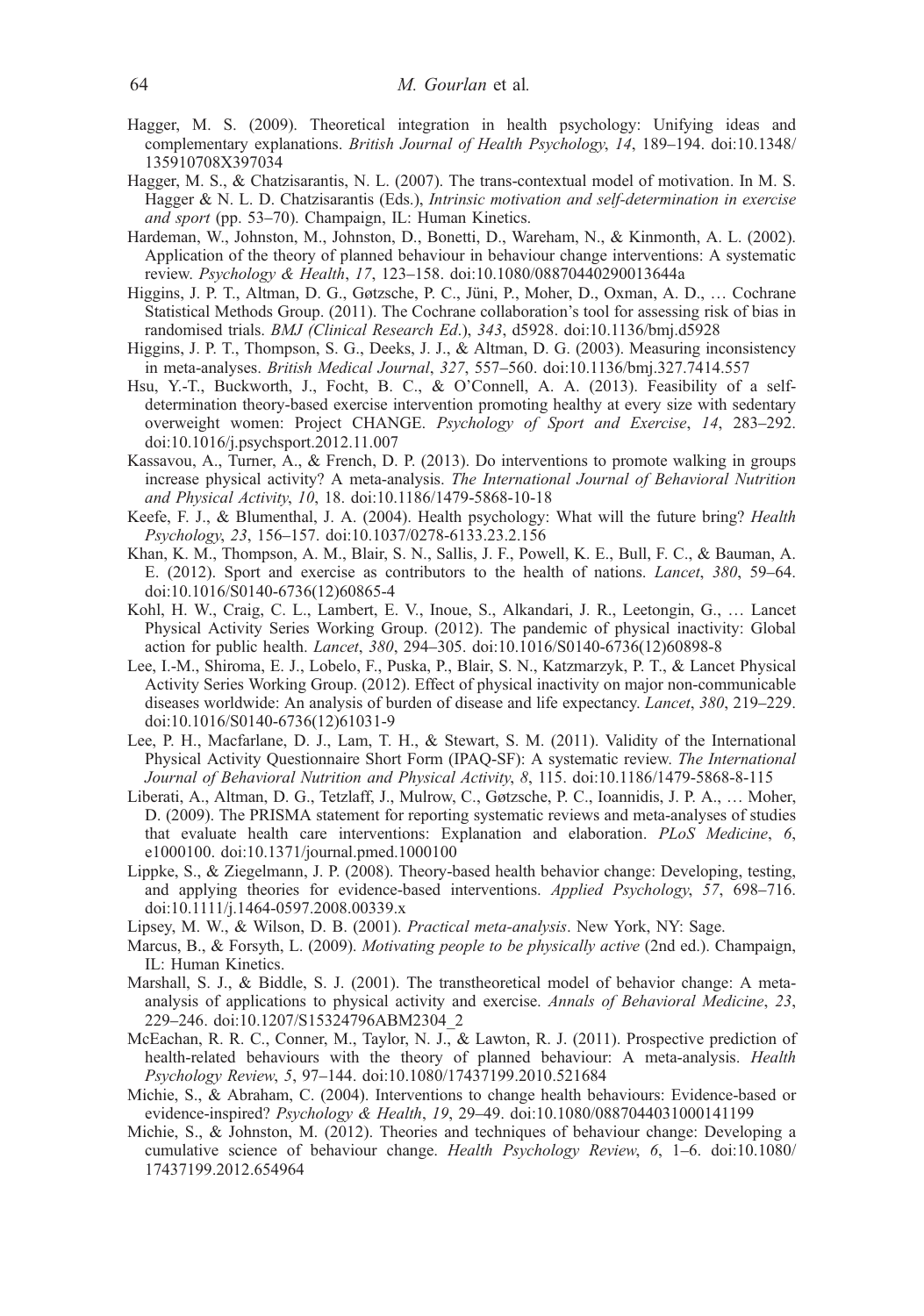- <span id="page-15-0"></span>Hagger, M. S. (2009). Theoretical integration in health psychology: Unifying ideas and complementary explanations. British Journal of Health Psychology, 14, 189–194. doi:[10.1348/](http://dx.doi.org/10.1348/135910708X397034) [135910708X397034](http://dx.doi.org/10.1348/135910708X397034)
- Hagger, M. S., & Chatzisarantis, N. L. (2007). The trans-contextual model of motivation. In M. S. Hagger & N. L. D. Chatzisarantis (Eds.), Intrinsic motivation and self-determination in exercise and sport (pp. 53–70). Champaign, IL: Human Kinetics.
- Hardeman, W., Johnston, M., Johnston, D., Bonetti, D., Wareham, N., & Kinmonth, A. L. (2002). Application of the theory of planned behaviour in behaviour change interventions: A systematic review. Psychology & Health, 17, 123–158. doi[:10.1080/08870440290013644a](http://dx.doi.org/10.1080/08870440290013644a)
- Higgins, J. P. T., Altman, D. G., Gøtzsche, P. C., Jüni, P., Moher, D., Oxman, A. D., … Cochrane Statistical Methods Group. (2011). The Cochrane collaboration's tool for assessing risk of bias in randomised trials. BMJ (Clinical Research Ed.), 343, d5928. doi[:10.1136/bmj.d5928](http://dx.doi.org/10.1136/bmj.d5928)
- Higgins, J. P. T., Thompson, S. G., Deeks, J. J., & Altman, D. G. (2003). Measuring inconsistency in meta-analyses. British Medical Journal, 327, 557–560. doi:[10.1136/bmj.327.7414.557](http://dx.doi.org/10.1136/bmj.327.7414.557)
- Hsu, Y.-T., Buckworth, J., Focht, B. C., & O'Connell, A. A. (2013). Feasibility of a selfdetermination theory-based exercise intervention promoting healthy at every size with sedentary overweight women: Project CHANGE. Psychology of Sport and Exercise, 14, 283–292. doi[:10.1016/j.psychsport.2012.11.007](http://dx.doi.org/10.1016/j.psychsport.2012.11.007)
- Kassavou, A., Turner, A., & French, D. P. (2013). Do interventions to promote walking in groups increase physical activity? A meta-analysis. The International Journal of Behavioral Nutrition and Physical Activity, 10, 18. doi[:10.1186/1479-5868-10-18](http://dx.doi.org/10.1186/1479-5868-10-18)
- Keefe, F. J., & Blumenthal, J. A. (2004). Health psychology: What will the future bring? Health Psychology, 23, 156–157. doi:[10.1037/0278-6133.23.2.156](http://dx.doi.org/10.1037/0278-6133.23.2.156)
- Khan, K. M., Thompson, A. M., Blair, S. N., Sallis, J. F., Powell, K. E., Bull, F. C., & Bauman, A. E. (2012). Sport and exercise as contributors to the health of nations. Lancet, 380, 59–64. doi[:10.1016/S0140-6736\(12\)60865-4](http://dx.doi.org/10.1016/S0140-6736(12)60865-4)
- Kohl, H. W., Craig, C. L., Lambert, E. V., Inoue, S., Alkandari, J. R., Leetongin, G., … Lancet Physical Activity Series Working Group. (2012). The pandemic of physical inactivity: Global action for public health. Lancet, 380, 294–305. doi:[10.1016/S0140-6736\(12\)60898-8](http://dx.doi.org/10.1016/S0140-6736(12)60898-8)
- Lee, I.-M., Shiroma, E. J., Lobelo, F., Puska, P., Blair, S. N., Katzmarzyk, P. T., & Lancet Physical Activity Series Working Group. (2012). Effect of physical inactivity on major non-communicable diseases worldwide: An analysis of burden of disease and life expectancy. Lancet, 380, 219–229. doi[:10.1016/S0140-6736\(12\)61031-9](http://dx.doi.org/10.1016/S0140-6736(12)61031-9)
- Lee, P. H., Macfarlane, D. J., Lam, T. H., & Stewart, S. M. (2011). Validity of the International Physical Activity Questionnaire Short Form (IPAQ-SF): A systematic review. The International Journal of Behavioral Nutrition and Physical Activity, 8, 115. doi:[10.1186/1479-5868-8-115](http://dx.doi.org/10.1186/1479-5868-8-115)
- Liberati, A., Altman, D. G., Tetzlaff, J., Mulrow, C., Gøtzsche, P. C., Ioannidis, J. P. A., … Moher, D. (2009). The PRISMA statement for reporting systematic reviews and meta-analyses of studies that evaluate health care interventions: Explanation and elaboration. PLoS Medicine, 6, e1000100. doi:[10.1371/journal.pmed.1000100](http://dx.doi.org/10.1371/journal.pmed.1000100)
- Lippke, S., & Ziegelmann, J. P. (2008). Theory-based health behavior change: Developing, testing, and applying theories for evidence-based interventions. Applied Psychology, 57, 698–716. doi[:10.1111/j.1464-0597.2008.00339.x](http://dx.doi.org/10.1111/j.1464-0597.2008.00339.x)
- Lipsey, M. W., & Wilson, D. B. (2001). Practical meta-analysis. New York, NY: Sage.
- Marcus, B., & Forsyth, L. (2009). Motivating people to be physically active (2nd ed.). Champaign, IL: Human Kinetics.
- Marshall, S. J., & Biddle, S. J. (2001). The transtheoretical model of behavior change: A metaanalysis of applications to physical activity and exercise. Annals of Behavioral Medicine, 23, 229–246. doi:[10.1207/S15324796ABM2304\\_2](http://dx.doi.org/10.1207/S15324796ABM2304_2)
- McEachan, R. R. C., Conner, M., Taylor, N. J., & Lawton, R. J. (2011). Prospective prediction of health-related behaviours with the theory of planned behaviour: A meta-analysis. Health Psychology Review, 5, 97–144. doi[:10.1080/17437199.2010.521684](http://dx.doi.org/10.1080/17437199.2010.521684)
- Michie, S., & Abraham, C. (2004). Interventions to change health behaviours: Evidence-based or evidence-inspired? Psychology & Health, 19, 29-49. doi[:10.1080/0887044031000141199](http://dx.doi.org/10.1080/0887044031000141199)
- Michie, S., & Johnston, M. (2012). Theories and techniques of behaviour change: Developing a cumulative science of behaviour change. Health Psychology Review, 6, 1–6. doi:[10.1080/](http://dx.doi.org/10.1080/17437199.2012.654964) [17437199.2012.654964](http://dx.doi.org/10.1080/17437199.2012.654964)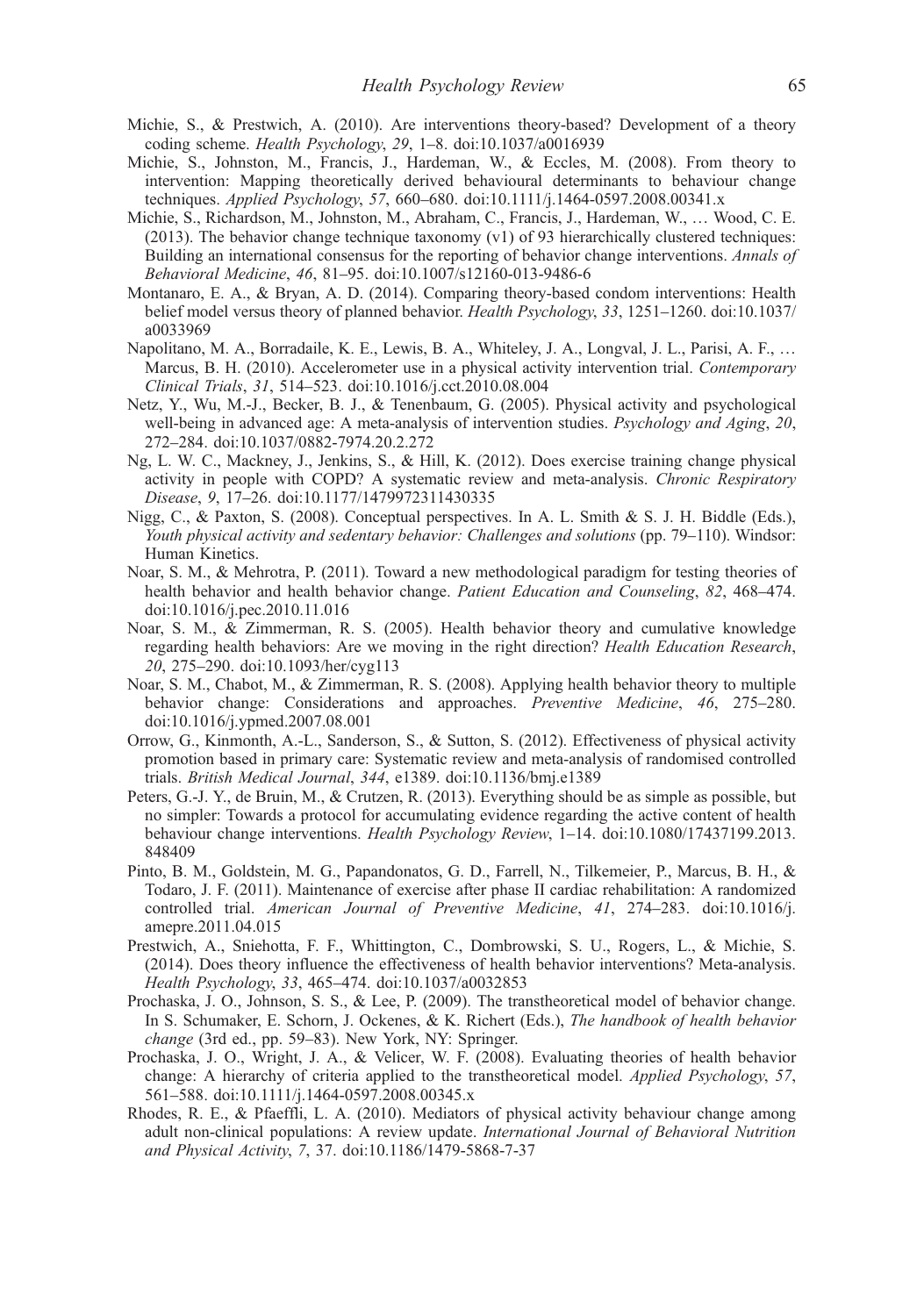- <span id="page-16-0"></span>Michie, S., & Prestwich, A. (2010). Are interventions theory-based? Development of a theory coding scheme. Health Psychology, 29, 1–8. doi[:10.1037/a0016939](http://dx.doi.org/10.1037/a0016939)
- Michie, S., Johnston, M., Francis, J., Hardeman, W., & Eccles, M. (2008). From theory to intervention: Mapping theoretically derived behavioural determinants to behaviour change techniques. *Applied Psychology, 57, 660–680.* doi:[10.1111/j.1464-0597.2008.00341.x](http://dx.doi.org/10.1111/j.1464-0597.2008.00341.x)
- Michie, S., Richardson, M., Johnston, M., Abraham, C., Francis, J., Hardeman, W., … Wood, C. E. (2013). The behavior change technique taxonomy (v1) of 93 hierarchically clustered techniques: Building an international consensus for the reporting of behavior change interventions. Annals of Behavioral Medicine, 46, 81–95. doi:[10.1007/s12160-013-9486-6](http://dx.doi.org/10.1007/s12160-013-9486-6)
- Montanaro, E. A., & Bryan, A. D. (2014). Comparing theory-based condom interventions: Health belief model versus theory of planned behavior. Health Psychology, 33, 1251–1260. doi:[10.1037/](http://dx.doi.org/10.1037/a0033969) [a0033969](http://dx.doi.org/10.1037/a0033969)
- Napolitano, M. A., Borradaile, K. E., Lewis, B. A., Whiteley, J. A., Longval, J. L., Parisi, A. F., … Marcus, B. H. (2010). Accelerometer use in a physical activity intervention trial. Contemporary Clinical Trials, 31, 514–523. doi:[10.1016/j.cct.2010.08.004](http://dx.doi.org/10.1016/j.cct.2010.08.004)
- Netz, Y., Wu, M.-J., Becker, B. J., & Tenenbaum, G. (2005). Physical activity and psychological well-being in advanced age: A meta-analysis of intervention studies. Psychology and Aging, 20, 272–284. doi:[10.1037/0882-7974.20.2.272](http://dx.doi.org/10.1037/0882-7974.20.2.272)
- Ng, L. W. C., Mackney, J., Jenkins, S., & Hill, K. (2012). Does exercise training change physical activity in people with COPD? A systematic review and meta-analysis. Chronic Respiratory Disease, 9, 17–26. doi:[10.1177/1479972311430335](http://dx.doi.org/10.1177/1479972311430335)
- Nigg, C., & Paxton, S. (2008). Conceptual perspectives. In A. L. Smith & S. J. H. Biddle (Eds.), Youth physical activity and sedentary behavior: Challenges and solutions (pp. 79–110). Windsor: Human Kinetics.
- Noar, S. M., & Mehrotra, P. (2011). Toward a new methodological paradigm for testing theories of health behavior and health behavior change. Patient Education and Counseling, 82, 468–474. doi[:10.1016/j.pec.2010.11.016](http://dx.doi.org/10.1016/j.pec.2010.11.016)
- Noar, S. M., & Zimmerman, R. S. (2005). Health behavior theory and cumulative knowledge regarding health behaviors: Are we moving in the right direction? Health Education Research, 20, 275–290. doi[:10.1093/her/cyg113](http://dx.doi.org/10.1093/her/cyg113)
- Noar, S. M., Chabot, M., & Zimmerman, R. S. (2008). Applying health behavior theory to multiple behavior change: Considerations and approaches. Preventive Medicine, 46, 275–280. doi[:10.1016/j.ypmed.2007.08.001](http://dx.doi.org/10.1016/j.ypmed.2007.08.001)
- Orrow, G., Kinmonth, A.-L., Sanderson, S., & Sutton, S. (2012). Effectiveness of physical activity promotion based in primary care: Systematic review and meta-analysis of randomised controlled trials. British Medical Journal, 344, e1389. doi:[10.1136/bmj.e1389](http://dx.doi.org/10.1136/bmj.e1389)
- Peters, G.-J. Y., de Bruin, M., & Crutzen, R. (2013). Everything should be as simple as possible, but no simpler: Towards a protocol for accumulating evidence regarding the active content of health behaviour change interventions. Health Psychology Review, 1–14. doi[:10.1080/17437199.2013.](http://dx.doi.org/10.1080/17437199.2013.848409) [848409](http://dx.doi.org/10.1080/17437199.2013.848409)
- Pinto, B. M., Goldstein, M. G., Papandonatos, G. D., Farrell, N., Tilkemeier, P., Marcus, B. H., & Todaro, J. F. (2011). Maintenance of exercise after phase II cardiac rehabilitation: A randomized controlled trial. American Journal of Preventive Medicine, 41, 274–283. doi:[10.1016/j.](http://dx.doi.org/10.1016/j.amepre.2011.04.015) [amepre.2011.04.015](http://dx.doi.org/10.1016/j.amepre.2011.04.015)
- Prestwich, A., Sniehotta, F. F., Whittington, C., Dombrowski, S. U., Rogers, L., & Michie, S. (2014). Does theory influence the effectiveness of health behavior interventions? Meta-analysis. Health Psychology, 33, 465–474. doi:[10.1037/a0032853](http://dx.doi.org/10.1037/a0032853)
- Prochaska, J. O., Johnson, S. S., & Lee, P. (2009). The transtheoretical model of behavior change. In S. Schumaker, E. Schorn, J. Ockenes, & K. Richert (Eds.), The handbook of health behavior change (3rd ed., pp. 59–83). New York, NY: Springer.
- Prochaska, J. O., Wright, J. A., & Velicer, W. F. (2008). Evaluating theories of health behavior change: A hierarchy of criteria applied to the transtheoretical model. Applied Psychology, 57, 561–588. doi:[10.1111/j.1464-0597.2008.00345.x](http://dx.doi.org/10.1111/j.1464-0597.2008.00345.x)
- Rhodes, R. E., & Pfaeffli, L. A. (2010). Mediators of physical activity behaviour change among adult non-clinical populations: A review update. International Journal of Behavioral Nutrition and Physical Activity, 7, 37. doi:[10.1186/1479-5868-7-37](http://dx.doi.org/10.1186/1479-5868-7-37)